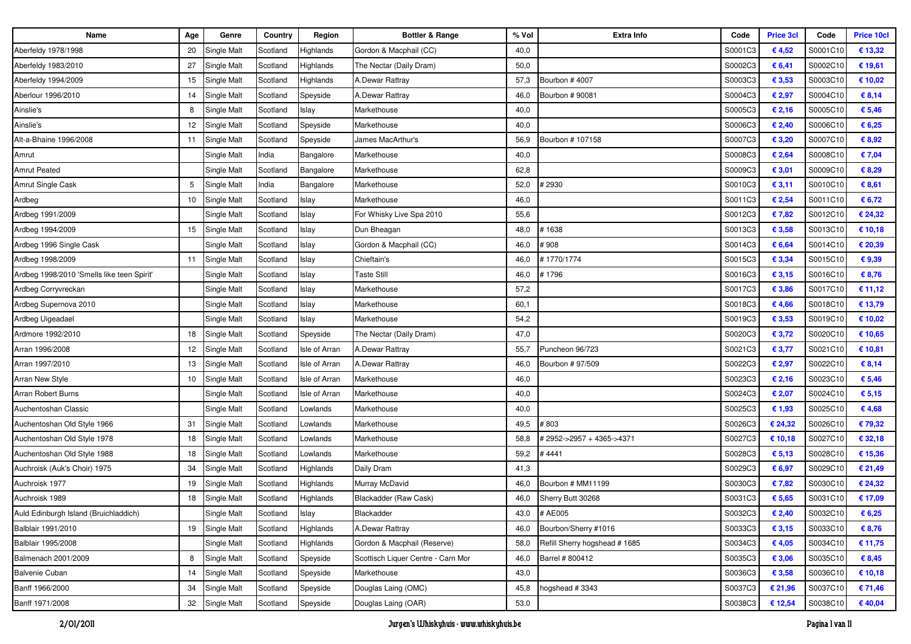| <b>Name</b>                                | Age | Genre              | Country  | Region               | <b>Bottler &amp; Range</b>         | % Vol | Extra Info                   | Code    | <b>Price 3cl</b> | Code     | <b>Price 10cl</b> |
|--------------------------------------------|-----|--------------------|----------|----------------------|------------------------------------|-------|------------------------------|---------|------------------|----------|-------------------|
| Aberfeldy 1978/1998                        | 20  | Single Malt        | Scotland | Highlands            | Gordon & Macphail (CC)             | 40,0  |                              | S0001C3 | €4,52            | S0001C10 | € 13,32           |
| Aberfeldy 1983/2010                        | 27  | Single Malt        | Scotland | Highlands            | The Nectar (Daily Dram)            | 50,0  |                              | S0002C3 | € 6,41           | S0002C10 | € 19,61           |
| Aberfeldy 1994/2009                        | 15  | Single Malt        | Scotland | Highlands            | A.Dewar Rattray                    | 57,3  | Bourbon #4007                | S0003C3 | € 3,53           | S0003C10 | € 10,02           |
| Aberlour 1996/2010                         | 14  | Single Malt        | Scotland | Speyside             | A.Dewar Rattray                    | 46,0  | Bourbon # 90081              | S0004C3 | € 2,97           | S0004C10 | € 8,14            |
| Ainslie's                                  | 8   | Single Malt        | Scotland | Islay                | Markethouse                        | 40,0  |                              | S0005C3 | € 2,16           | S0005C10 | € 5,46            |
| Ainslie's                                  | 12  | Single Malt        | Scotland | Speyside             | Markethouse                        | 40,0  |                              | S0006C3 | € 2,40           | S0006C10 | € 6,25            |
| Alt-a-Bhaine 1996/2008                     | 11  | Single Malt        | Scotland | Speyside             | James MacArthur's                  | 56,9  | Bourbon # 107158             | S0007C3 | € 3,20           | S0007C10 | € 8,92            |
| Amrut                                      |     | Single Malt        | India    | Bangalore            | Markethouse                        | 40,0  |                              | S0008C3 | € 2,64           | S0008C10 | € 7,04            |
| <b>Amrut Peated</b>                        |     | Single Malt        | Scotland | Bangalore            | Markethouse                        | 62,8  |                              | S0009C3 | € 3,01           | S0009C10 | € 8,29            |
| Amrut Single Cask                          | 5   | Single Malt        | India    | Bangalore            | Markethouse                        | 52,0  | 2930 #                       | S0010C3 | € 3,11           | S0010C10 | € 8,61            |
| Ardbeg                                     | 10  | Single Malt        | Scotland | Islay                | Markethouse                        | 46,0  |                              | S0011C3 | € 2,54           | S0011C10 | € 6,72            |
| Ardbeg 1991/2009                           |     | Single Malt        | Scotland | Islay                | For Whisky Live Spa 2010           | 55,6  |                              | S0012C3 | €7,82            | S0012C10 | € 24,32           |
| Ardbeg 1994/2009                           | 15  | Single Malt        | Scotland | Islay                | Dun Bheagan                        | 48,0  | #1638                        | S0013C3 | € 3,58           | S0013C10 | € 10,18           |
| Ardbeg 1996 Single Cask                    |     | Single Malt        | Scotland | Islay                | Gordon & Macphail (CC)             | 46,0  | #908                         | S0014C3 | € 6,64           | S0014C10 | € 20,39           |
| Ardbeg 1998/2009                           | 11  | <b>Single Malt</b> | Scotland | Islay                | Chieftain's                        | 46,0  | #1770/1774                   | S0015C3 | € 3,34           | S0015C10 | €9,39             |
| Ardbeg 1998/2010 'Smells like teen Spirit' |     | Single Malt        | Scotland | Islay                | <b>Taste Still</b>                 | 46,0  | # 1796                       | S0016C3 | € 3,15           | S0016C10 | € 8,76            |
| Ardbeg Corryvreckan                        |     | Single Malt        | Scotland | Islay                | Markethouse                        | 57,2  |                              | S0017C3 | € 3,86           | S0017C10 | € 11,12           |
| Ardbeg Supernova 2010                      |     | Single Malt        | Scotland | Islay                | Markethouse                        | 60,1  |                              | S0018C3 | €4,66            | S0018C10 | € 13,79           |
| Ardbeg Uigeadael                           |     | Single Malt        | Scotland | Islay                | Markethouse                        | 54,2  |                              | S0019C3 | € 3,53           | S0019C10 | € 10,02           |
| Ardmore 1992/2010                          | 18  | Single Malt        | Scotland | Speyside             | The Nectar (Daily Dram)            | 47,0  |                              | S0020C3 | € 3,72           | S0020C10 | € 10,65           |
| Arran 1996/2008                            | 12  | Single Malt        | Scotland | Isle of Arran        | A.Dewar Rattray                    | 55,7  | Puncheon 96/723              | S0021C3 | € 3,77           | S0021C10 | € 10,81           |
| Arran 1997/2010                            | 13  | Single Malt        | Scotland | Isle of Arran        | A.Dewar Rattray                    | 46,0  | Bourbon # 97/509             | S0022C3 | € 2,97           | S0022C10 | € 8,14            |
| Arran New Style                            | 10  | Single Malt        | Scotland | Isle of Arran        | Markethouse                        | 46,0  |                              | S0023C3 | € 2,16           | S0023C10 | € 5,46            |
| Arran Robert Burns                         |     | Single Malt        | Scotland | <b>Isle of Arran</b> | Markethouse                        | 40,0  |                              | S0024C3 | € 2,07           | S0024C10 | € 5,15            |
| Auchentoshan Classic                       |     | Single Malt        | Scotland | Lowlands             | Markethouse                        | 40,0  |                              | S0025C3 | € 1,93           | S0025C10 | €4,68             |
| Auchentoshan Old Style 1966                | 31  | Single Malt        | Scotland | _owlands             | Markethouse                        | 49,5  | #803                         | S0026C3 | € 24,32          | S0026C10 | € 79,32           |
| Auchentoshan Old Style 1978                | 18  | Single Malt        | Scotland | Lowlands             | Markethouse                        | 58,8  | # 2952->2957 + 4365->4371    | S0027C3 | € 10,18          | S0027C10 | € 32,18           |
| Auchentoshan Old Style 1988                | 18  | Single Malt        | Scotland | Lowlands             | Markethouse                        | 59,2  | #4441                        | S0028C3 | € 5,13           | S0028C10 | € 15,36           |
| Auchroisk (Auk's Choir) 1975               | 34  | Single Malt        | Scotland | Highlands            | Daily Dram                         | 41,3  |                              | S0029C3 | € 6,97           | S0029C10 | € 21,49           |
| Auchroisk 1977                             | 19  | Single Malt        | Scotland | Highlands            | Murray McDavid                     | 46,0  | Bourbon # MM11199            | S0030C3 | €7,82            | S0030C10 | € 24,32           |
| Auchroisk 1989                             | 18  | Single Malt        | Scotland | Highlands            | Blackadder (Raw Cask)              | 46,0  | Sherry Butt 30268            | S0031C3 | € 5,65           | S0031C10 | € 17,09           |
| Auld Edinburgh Island (Bruichladdich)      |     | Single Malt        | Scotland | Islay                | Blackadder                         | 43,0  | # AE005                      | S0032C3 | € 2,40           | S0032C10 | € 6,25            |
| Balblair 1991/2010                         | 19  | Single Malt        | Scotland | Highlands            | A.Dewar Rattray                    | 46,0  | Bourbon/Sherry #1016         | S0033C3 | € 3,15           | S0033C10 | € 8,76            |
| Balblair 1995/2008                         |     | Single Malt        | Scotland | Highlands            | Gordon & Macphail (Reserve)        | 58,0  | Refill Sherry hogshead #1685 | S0034C3 | € 4,05           | S0034C10 | € 11,75           |
| Balmenach 2001/2009                        | 8   | Single Malt        | Scotland | Speyside             | Scottisch Liquer Centre - Carn Mor | 46,0  | Barrel # 800412              | S0035C3 | € 3,06           | S0035C10 | € 8,45            |
| <b>Balvenie Cuban</b>                      | 14  | Single Malt        | Scotland | Speyside             | Markethouse                        | 43,0  |                              | S0036C3 | € 3,58           | S0036C10 | € 10,18           |
| Banff 1966/2000                            | 34  | Single Malt        | Scotland | Speyside             | Douglas Laing (OMC)                | 45,8  | ogshead #3343                | S0037C3 | € 21,96          | S0037C10 | € 71,46           |
| Banff 1971/2008                            |     | 32 Single Malt     | Scotland | Speyside             | Douglas Laing (OAR)                | 53,0  |                              | S0038C3 | € 12,54          | S0038C10 | € 40,04           |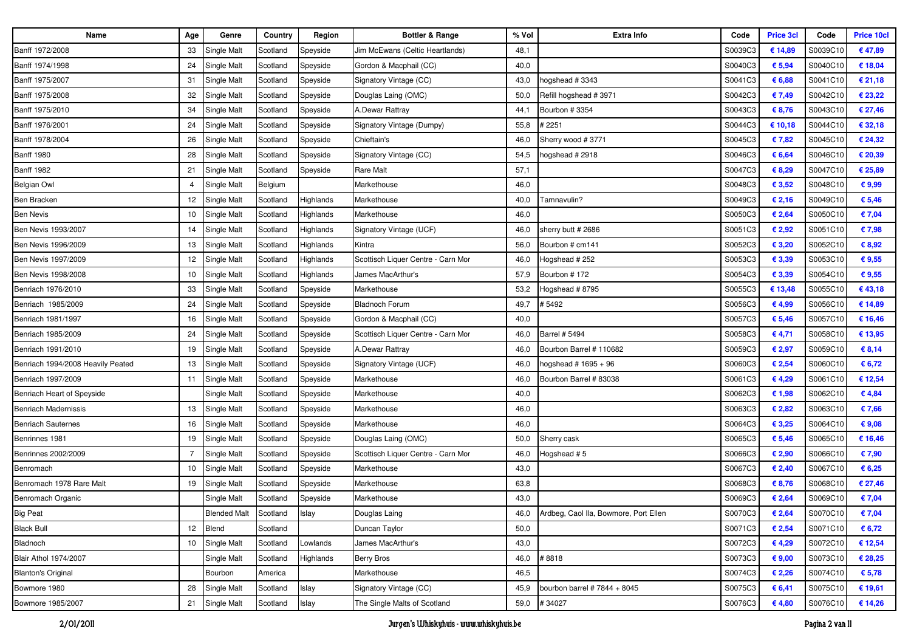| Name                              | Age              | Genre                 | Country  | Region    | <b>Bottler &amp; Range</b>         | % Vol | <b>Extra Info</b>                     | Code    | <b>Price 3cl</b> | Code     | <b>Price 10cl</b> |
|-----------------------------------|------------------|-----------------------|----------|-----------|------------------------------------|-------|---------------------------------------|---------|------------------|----------|-------------------|
| Banff 1972/2008                   | 33               | Single Malt           | Scotland | Speyside  | Jim McEwans (Celtic Heartlands)    | 48,1  |                                       | S0039C3 | € 14,89          | S0039C10 | €47,89            |
| Banff 1974/1998                   | 24               | Single Malt           | Scotland | Speyside  | Gordon & Macphail (CC)             | 40,0  |                                       | S0040C3 | € 5,94           | S0040C10 | € 18,04           |
| Banff 1975/2007                   | 31               | Single Malt           | Scotland | Speyside  | Signatory Vintage (CC)             | 43,0  | ogshead #3343                         | S0041C3 | € 6,88           | S0041C10 | € 21,18           |
| Banff 1975/2008                   | 32               | Single Malt           | Scotland | Speyside  | Douglas Laing (OMC)                | 50,0  | Refill hogshead #3971                 | S0042C3 | € 7,49           | S0042C10 | € 23,22           |
| Banff 1975/2010                   | 34               | Single Malt           | Scotland | Speyside  | A.Dewar Rattray                    | 44,1  | Bourbon #3354                         | S0043C3 | € 8,76           | S0043C10 | € 27,46           |
| Banff 1976/2001                   | 24               | Single Malt           | Scotland | Speyside  | Signatory Vintage (Dumpy)          | 55,8  | # 2251                                | S0044C3 | € 10,18          | S0044C10 | € 32,18           |
| Banff 1978/2004                   | 26               | Single Malt           | Scotland | Speyside  | Chieftain's                        | 46,0  | Sherry wood #3771                     | S0045C3 | € 7,82           | S0045C10 | € 24,32           |
| <b>Banff 1980</b>                 | 28               | Single Malt           | Scotland | Speyside  | Signatory Vintage (CC)             | 54,5  | ogshead # 2918                        | S0046C3 | € 6,64           | S0046C10 | € 20,39           |
| <b>Banff 1982</b>                 | 21               | Single Malt           | Scotland | Speyside  | Rare Malt                          | 57,1  |                                       | S0047C3 | € 8,29           | S0047C10 | € 25,89           |
| Belgian Owl                       | 4                | <b>Single Malt</b>    | Belgium  |           | Markethouse                        | 46,0  |                                       | S0048C3 | € 3,52           | S0048C10 | € 9,99            |
| Ben Bracken                       | 12               | Single Malt           | Scotland | Highlands | Markethouse                        | 40,0  | Famnavulin?                           | S0049C3 | € 2,16           | S0049C10 | € 5,46            |
| <b>Ben Nevis</b>                  | 10               | Single Malt           | Scotland | Highlands | Markethouse                        | 46,0  |                                       | S0050C3 | € 2,64           | S0050C10 | € 7,04            |
| Ben Nevis 1993/2007               | 14               | Single Malt           | Scotland | Highlands | Signatory Vintage (UCF)            | 46,0  | sherry butt # 2686                    | S0051C3 | € 2,92           | S0051C10 | € 7,98            |
| Ben Nevis 1996/2009               | 13               | Single Malt           | Scotland | Highlands | Kintra                             | 56,0  | Bourbon # cm141                       | S0052C3 | € 3,20           | S0052C10 | \$8,92            |
| Ben Nevis 1997/2009               | 12               | <b>Single Malt</b>    | Scotland | Highlands | Scottisch Liquer Centre - Carn Mor | 46,0  | Hogshead # 252                        | S0053C3 | € 3,39           | S0053C10 | € 9,55            |
| Ben Nevis 1998/2008               | 10               | Single Malt           | Scotland | Highlands | James MacArthur's                  | 57,9  | Bourbon #172                          | S0054C3 | € 3,39           | S0054C10 | € 9,55            |
| Benriach 1976/2010                | 33               | Single Malt           | Scotland | Speyside  | Markethouse                        | 53,2  | logshead # 8795                       | S0055C3 | € 13,48          | S0055C10 | €43,18            |
| Benriach 1985/2009                | 24               | Single Malt           | Scotland | Speyside  | <b>Bladnoch Forum</b>              | 49,7  | # 5492                                | S0056C3 | € 4,99           | S0056C10 | € 14,89           |
| Benriach 1981/1997                | 16               | Single Malt           | Scotland | Speyside  | Gordon & Macphail (CC)             | 40,0  |                                       | S0057C3 | € 5,46           | S0057C10 | € 16,46           |
| Benriach 1985/2009                | 24               | <b>Single Malt</b>    | Scotland | Speyside  | Scottisch Liquer Centre - Carn Mor | 46,0  | <b>Barrel # 5494</b>                  | S0058C3 | € 4,71           | S0058C10 | € 13,95           |
| Benriach 1991/2010                | 19               | Single Malt           | Scotland | Speyside  | A.Dewar Rattray                    | 46,0  | Bourbon Barrel # 110682               | S0059C3 | € 2,97           | S0059C10 | € 8,14            |
| Benriach 1994/2008 Heavily Peated | 13               | Single Malt           | Scotland | Speyside  | Signatory Vintage (UCF)            | 46,0  | 10gshead # 1695 + 96                  | S0060C3 | € 2,54           | S0060C10 | € 6,72            |
| Benriach 1997/2009                | 11               | <b>Single Malt</b>    | Scotland | Speyside  | Markethouse                        | 46,0  | Bourbon Barrel # 83038                | S0061C3 | € 4,29           | S0061C10 | € 12,54           |
| Benriach Heart of Speyside        |                  | Single Malt           | Scotland | Speyside  | Markethouse                        | 40,0  |                                       | S0062C3 | € 1,98           | S0062C10 | €4,84             |
| <b>Benriach Madernissis</b>       | 13               | <b>Single Malt</b>    | Scotland | Speyside  | Markethouse                        | 46,0  |                                       | S0063C3 | € 2,82           | S0063C10 | € 7,66            |
| <b>Benriach Sauternes</b>         | 16               | Single Malt           | Scotland | Speyside  | Markethouse                        | 46,0  |                                       | S0064C3 | € 3,25           | S0064C10 | € 9,08            |
| Benrinnes 1981                    | 19               | Single Malt           | Scotland | Speyside  | Douglas Laing (OMC)                | 50,0  | Sherry cask                           | S0065C3 | € 5,46           | S0065C10 | € 16,46           |
| Benrinnes 2002/2009               |                  | <b>Single Malt</b>    | Scotland | Speyside  | Scottisch Liquer Centre - Carn Mor | 46,0  | logshead #5                           | S0066C3 | € 2,90           | S0066C10 | € 7,90            |
| Benromach                         | 10               | <b>Single Malt</b>    | Scotland | Speyside  | Markethouse                        | 43,0  |                                       | S0067C3 | € 2,40           | S0067C10 | 6,25              |
| Benromach 1978 Rare Malt          | 19               | Single Malt           | Scotland | Speyside  | Markethouse                        | 63,8  |                                       | S0068C3 | € 8,76           | S0068C10 | € 27,46           |
| Benromach Organic                 |                  | Single Malt           | Scotland | Speyside  | Markethouse                        | 43,0  |                                       | S0069C3 | € 2,64           | S0069C10 | € 7,04            |
| <b>Big Peat</b>                   |                  | Blended Malt Scotland |          | Islay     | Douglas Laing                      | 46,0  | Ardbeg, Caol Ila, Bowmore, Port Ellen | S0070C3 | € 2,64           | S0070C10 | € 7,04            |
| <b>Black Bull</b>                 | 12 <sup>12</sup> | Blend                 | Scotland |           | Duncan Taylor                      | 50,0  |                                       | S0071C3 | € 2,54           | S0071C10 | € 6,72            |
| Bladnoch                          | 10 <sup>1</sup>  | Single Malt           | Scotland | Lowlands  | James MacArthur's                  | 43,0  |                                       | S0072C3 | € 4,29           | S0072C10 | € 12,54           |
| <b>Blair Athol 1974/2007</b>      |                  | Single Malt           | Scotland | Highlands | Berry Bros                         | 46,0  | #8818                                 | S0073C3 | € 9,00           | S0073C10 | € 28,25           |
| <b>Blanton's Original</b>         |                  | Bourbon               | America  |           | Markethouse                        | 46,5  |                                       | S0074C3 | € 2,26           | S0074C10 | € 5,78            |
| Bowmore 1980                      | 28               | Single Malt           | Scotland | Islay     | Signatory Vintage (CC)             | 45,9  | bourbon barrel # $7844 + 8045$        | S0075C3 | € 6,41           | S0075C10 | € 19,61           |
| Bowmore 1985/2007                 | 21               | Single Malt           | Scotland | Islay     | The Single Malts of Scotland       | 59,0  | #34027                                | S0076C3 | €4,80            | S0076C10 | € 14,26           |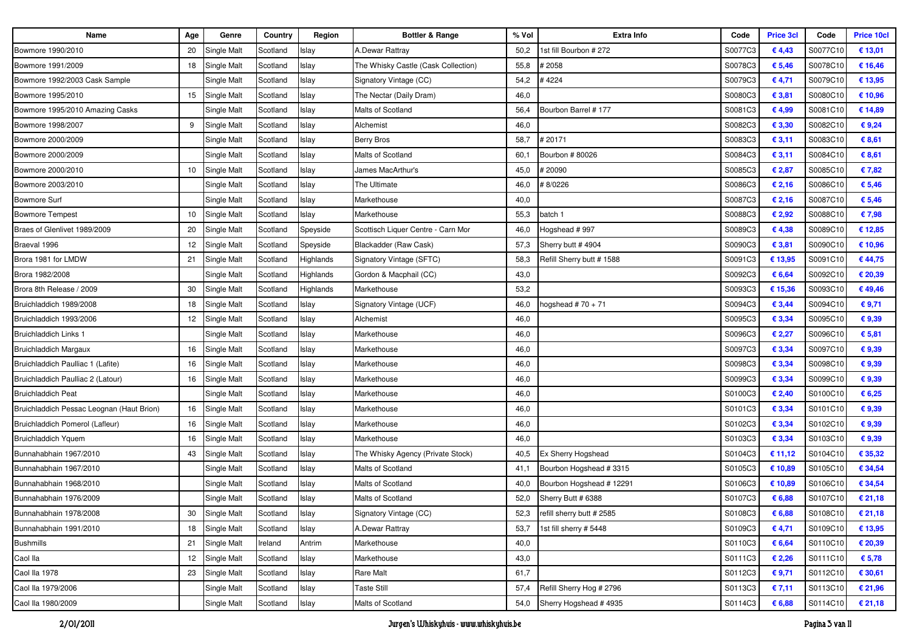| Name                                      | Age             | Genre              | Country  | Region    | Bottler & Range                     | % Vol | <b>Extra Info</b>          | Code    | <b>Price 3cl</b> | Code     | <b>Price 10cl</b> |
|-------------------------------------------|-----------------|--------------------|----------|-----------|-------------------------------------|-------|----------------------------|---------|------------------|----------|-------------------|
| Bowmore 1990/2010                         | 20              | Single Malt        | Scotland | Islay     | A.Dewar Rattray                     | 50,2  | 1st fill Bourbon # 272     | S0077C3 | €4,43            | S0077C10 | € 13,01           |
| Bowmore 1991/2009                         | 18              | Single Malt        | Scotland | Islay     | The Whisky Castle (Cask Collection) | 55,8  | 2058 #                     | S0078C3 | € 5,46           | S0078C10 | € 16,46           |
| Bowmore 1992/2003 Cask Sample             |                 | Single Malt        | Scotland | Islay     | Signatory Vintage (CC)              | 54,2  | #4224                      | S0079C3 | €4,71            | S0079C10 | € 13,95           |
| Bowmore 1995/2010                         | 15              | Single Malt        | Scotland | Islay     | The Nectar (Daily Dram)             | 46,0  |                            | S0080C3 | € 3,81           | S0080C10 | € 10,96           |
| Bowmore 1995/2010 Amazing Casks           |                 | Single Malt        | Scotland | Islay     | Malts of Scotland                   | 56,4  | Bourbon Barrel #177        | S0081C3 | € 4,99           | S0081C10 | € 14,89           |
| Bowmore 1998/2007                         | 9               | Single Malt        | Scotland | Islay     | Alchemist                           | 46,0  |                            | S0082C3 | € 3,30           | S0082C10 | €9,24             |
| Bowmore 2000/2009                         |                 | Single Malt        | Scotland | Islay     | <b>Berry Bros</b>                   | 58,7  | 20171                      | S0083C3 | € 3,11           | S0083C10 | € 8,61            |
| Bowmore 2000/2009                         |                 | Single Malt        | Scotland | Islay     | Malts of Scotland                   | 60,1  | Bourbon #80026             | S0084C3 | € 3,11           | S0084C10 | € 8,61            |
| Bowmore 2000/2010                         | 10              | Single Malt        | Scotland | Islay     | James MacArthur's                   | 45,0  | #20090                     | S0085C3 | € 2,87           | S0085C10 | €7,82             |
| Bowmore 2003/2010                         |                 | Single Malt        | Scotland | Islay     | The Ultimate                        | 46,0  | #8/0226                    | S0086C3 | € 2,16           | S0086C10 | € 5,46            |
| <b>Bowmore Surf</b>                       |                 | Single Malt        | Scotland | Islay     | Markethouse                         | 40,0  |                            | S0087C3 | € 2,16           | S0087C10 | € 5,46            |
| <b>Bowmore Tempest</b>                    | 10              | Single Malt        | Scotland | Islay     | Markethouse                         | 55,3  | batch 1                    | S0088C3 | € 2,92           | S0088C10 | €7,98             |
| Braes of Glenlivet 1989/2009              | 20              | Single Malt        | Scotland | Speyside  | Scottisch Liquer Centre - Carn Mor  | 46,0  | Hogshead #997              | S0089C3 | €4,38            | S0089C10 | € 12,85           |
| Braeval 1996                              | 12              | Single Malt        | Scotland | Speyside  | Blackadder (Raw Cask)               | 57,3  | Sherry butt #4904          | S0090C3 | € 3,81           | S0090C10 | € 10,96           |
| Brora 1981 for LMDW                       | 21              | Single Malt        | Scotland | Highlands | Signatory Vintage (SFTC)            | 58,3  | Refill Sherry butt # 1588  | S0091C3 | € 13,95          | S0091C10 | €44,75            |
| Brora 1982/2008                           |                 | Single Malt        | Scotland | Highlands | Gordon & Macphail (CC)              | 43,0  |                            | S0092C3 | € 6,64           | S0092C10 | € 20,39           |
| Brora 8th Release / 2009                  | 30              | Single Malt        | Scotland | Highlands | Markethouse                         | 53,2  |                            | S0093C3 | € 15,36          | S0093C10 | €49,46            |
| Bruichladdich 1989/2008                   | 18              | Single Malt        | Scotland | Islay     | Signatory Vintage (UCF)             | 46,0  | 10gshead # 70 + 71         | S0094C3 | € 3,44           | S0094C10 | € 9,71            |
| Bruichladdich 1993/2006                   | 12              | Single Malt        | Scotland | Islay     | Alchemist                           | 46,0  |                            | S0095C3 | € 3,34           | S0095C10 | €9,39             |
| Bruichladdich Links 1                     |                 | Single Malt        | Scotland | Islay     | Markethouse                         | 46,0  |                            | S0096C3 | € 2,27           | S0096C10 | € 5,81            |
| <b>Bruichladdich Margaux</b>              | 16              | Single Malt        | Scotland | Islay     | Markethouse                         | 46,0  |                            | S0097C3 | € 3,34           | S0097C10 | €9,39             |
| Bruichladdich Paulliac 1 (Lafite)         | 16              | Single Malt        | Scotland | Islay     | Markethouse                         | 46,0  |                            | S0098C3 | € 3,34           | S0098C10 | € 9,39            |
| Bruichladdich Paulliac 2 (Latour)         | 16              | Single Malt        | Scotland | Islay     | Markethouse                         | 46,0  |                            | S0099C3 | € 3,34           | S0099C10 | €9,39             |
| <b>Bruichladdich Peat</b>                 |                 | Single Malt        | Scotland | Islay     | Markethouse                         | 46,0  |                            | S0100C3 | € 2,40           | S0100C10 | € 6,25            |
| Bruichladdich Pessac Leognan (Haut Brion) | 16              | Single Malt        | Scotland | Islay     | Markethouse                         | 46,0  |                            | S0101C3 | € 3,34           | S0101C10 | €9,39             |
| Bruichladdich Pomerol (Lafleur)           | 16              | Single Malt        | Scotland | Islay     | Markethouse                         | 46,0  |                            | S0102C3 | € 3,34           | S0102C10 | €9,39             |
| <b>Bruichladdich Yquem</b>                | 16              | Single Malt        | Scotland | Islay     | Markethouse                         | 46,0  |                            | S0103C3 | € 3,34           | S0103C10 | € 9,39            |
| Bunnahabhain 1967/2010                    | 43              | Single Malt        | Scotland | Islay     | The Whisky Agency (Private Stock)   | 40,5  | Ex Sherry Hogshead         | S0104C3 | € 11,12          | S0104C10 | € 35,32           |
| Bunnahabhain 1967/2010                    |                 | Single Malt        | Scotland | Islay     | Malts of Scotland                   | 41,1  | Bourbon Hogshead #3315     | S0105C3 | € 10,89          | S0105C10 | € 34,54           |
| Bunnahabhain 1968/2010                    |                 | Single Malt        | Scotland | Islay     | Malts of Scotland                   | 40,0  | Bourbon Hogshead #12291    | S0106C3 | € 10,89          | S0106C10 | € 34,54           |
| Bunnahabhain 1976/2009                    |                 | Single Malt        | Scotland | Islay     | Malts of Scotland                   | 52,0  | Sherry Butt # 6388         | S0107C3 | € 6,88           | S0107C10 | € 21,18           |
| Bunnahabhain 1978/2008                    | 30              | Single Malt        | Scotland | Islay     | Signatory Vintage (CC)              | 52,3  | refill sherry butt # 2585  | S0108C3 | € 6,88           | S0108C10 | € 21,18           |
| Bunnahabhain 1991/2010                    | 18              | Single Malt        | Scotland | Islay     | A.Dewar Rattray                     | 53,7  | 1st fill sherry # 5448     | S0109C3 | €4,71            | S0109C10 | € 13,95           |
| <b>Bushmills</b>                          | 21              | Single Malt        | Ireland  | Antrim    | Markethouse                         | 40,0  |                            | S0110C3 | € 6,64           | S0110C10 | € 20,39           |
| Caol lla                                  | 12 <sub>2</sub> | Single Malt        | Scotland | Islay     | Markethouse                         | 43,0  |                            | S0111C3 | € 2,26           | S0111C10 | € 5,78            |
| Caol lla 1978                             | 23              | <b>Single Malt</b> | Scotland | Islay     | Rare Malt                           | 61,7  |                            | S0112C3 | €9,71            | S0112C10 | € 30,61           |
| Caol lla 1979/2006                        |                 | Single Malt        | Scotland | Islay     | Taste Still                         | 57,4  | Refill Sherry Hog # 2796   | S0113C3 | € 7,11           | S0113C10 | € 21,96           |
| Caol lla 1980/2009                        |                 | Single Malt        | Scotland | Islay     | Malts of Scotland                   |       | 54,0 Sherry Hogshead #4935 | S0114C3 | € 6,88           | S0114C10 | € 21,18           |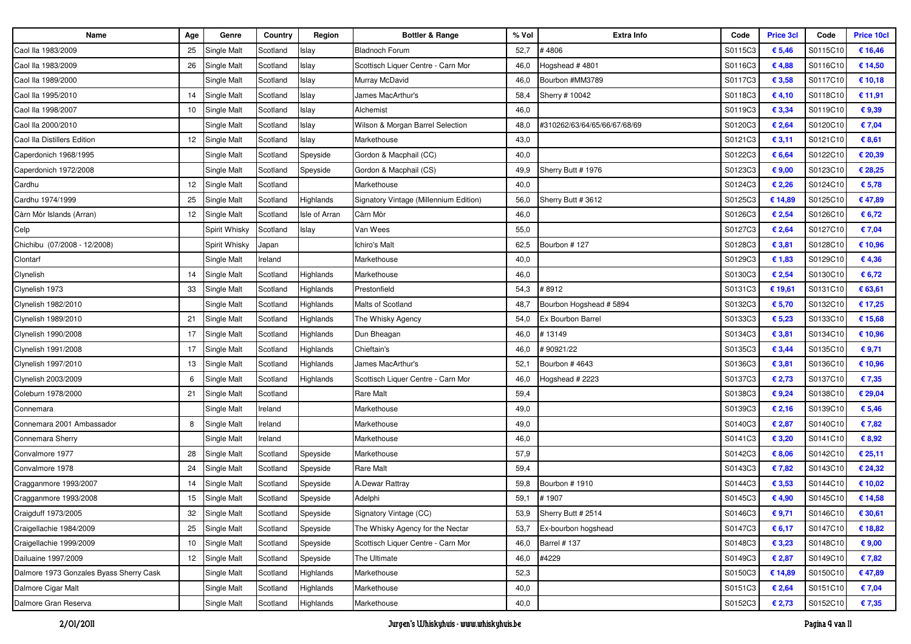| Name                                    | Age | Genre          | Country  | Region        | <b>Bottler &amp; Range</b>             | % Vol | <b>Extra Info</b>            | Code    | <b>Price 3cl</b> | Code     | <b>Price 10cl</b> |
|-----------------------------------------|-----|----------------|----------|---------------|----------------------------------------|-------|------------------------------|---------|------------------|----------|-------------------|
| Caol lla 1983/2009                      | 25  | Single Malt    | Scotland | Islay         | <b>Bladnoch Forum</b>                  | 52,7  | #4806                        | S0115C3 | € 5,46           | S0115C10 | € 16,46           |
| Caol lla 1983/2009                      | 26  | Single Malt    | Scotland | Islay         | Scottisch Liquer Centre - Carn Mor     | 46,0  | 1ogshead #4801               | S0116C3 | €4,88            | S0116C10 | € 14,50           |
| Caol lla 1989/2000                      |     | Single Malt    | Scotland | Islay         | Murray McDavid                         | 46,0  | Bourbon #MM3789              | S0117C3 | € 3,58           | S0117C10 | € 10,18           |
| Caol lla 1995/2010                      | 14  | Single Malt    | Scotland | Islay         | James MacArthur's                      | 58,4  | Sherry # 10042               | S0118C3 | € 4,10           | S0118C10 | € 11,91           |
| Caol lla 1998/2007                      | 10  | Single Malt    | Scotland | Islay         | Alchemist                              | 46,0  |                              | S0119C3 | € 3,34           | S0119C10 | €9,39             |
| Caol lla 2000/2010                      |     | Single Malt    | Scotland | Islay         | Wilson & Morgan Barrel Selection       | 48,0  | #310262/63/64/65/66/67/68/69 | S0120C3 | € 2,64           | S0120C10 | € 7,04            |
| Caol lla Distillers Edition             | 12  | Single Malt    | Scotland | Islay         | Markethouse                            | 43,0  |                              | S0121C3 | € 3,11           | S0121C10 | € 8,61            |
| Caperdonich 1968/1995                   |     | Single Malt    | Scotland | Speyside      | Gordon & Macphail (CC)                 | 40,0  |                              | S0122C3 | € 6,64           | S0122C10 | € 20,39           |
| Caperdonich 1972/2008                   |     | Single Malt    | Scotland | Speyside      | Gordon & Macphail (CS)                 | 49,9  | Sherry Butt # 1976           | S0123C3 | € $9,00$         | S0123C10 | € 28,25           |
| Cardhu                                  | 12  | Single Malt    | Scotland |               | Markethouse                            | 40,0  |                              | S0124C3 | € 2,26           | S0124C10 | € 5,78            |
| Cardhu 1974/1999                        | 25  | Single Malt    | Scotland | Highlands     | Signatory Vintage (Millennium Edition) | 56,0  | Sherry Butt # 3612           | S0125C3 | € 14,89          | S0125C10 | €47,89            |
| Càrn Mòr Islands (Arran)                | 12  | Single Malt    | Scotland | Isle of Arran | Càrn Mòr                               | 46,0  |                              | S0126C3 | € 2,54           | S0126C10 | € 6,72            |
| Celp                                    |     | Spirit Whisky  | Scotland | Islay         | Van Wees                               | 55,0  |                              | S0127C3 | € 2,64           | S0127C10 | € 7,04            |
| Chichibu (07/2008 - 12/2008)            |     | Spirit Whisky  | Japan    |               | chiro's Malt                           | 62,5  | Bourbon # 127                | S0128C3 | € 3,81           | S0128C10 | € 10,96           |
| Clontarf                                |     | Single Malt    | Ireland  |               | Markethouse                            | 40,0  |                              | S0129C3 | € 1,83           | S0129C10 | €4,36             |
| Clynelish                               | 14  | Single Malt    | Scotland | Highlands     | Markethouse                            | 46,0  |                              | S0130C3 | € 2,54           | S0130C10 | € 6,72            |
| Clynelish 1973                          | 33  | Single Malt    | Scotland | Highlands     | Prestonfield                           | 54,3  | # 8912                       | S0131C3 | € 19,61          | S0131C10 | € 63,61           |
| Clynelish 1982/2010                     |     | Single Malt    | Scotland | Highlands     | Malts of Scotland                      | 48,7  | Bourbon Hogshead # 5894      | S0132C3 | € 5,70           | S0132C10 | € 17,25           |
| Clynelish 1989/2010                     | 21  | Single Malt    | Scotland | Highlands     | The Whisky Agency                      | 54,0  | Ex Bourbon Barrel            | S0133C3 | € 5,23           | S0133C10 | € 15,68           |
| Clynelish 1990/2008                     | 17  | Single Malt    | Scotland | Highlands     | Dun Bheagan                            | 46,0  | 13149                        | S0134C3 | € 3,81           | S0134C10 | € 10,96           |
| Clynelish 1991/2008                     | 17  | Single Malt    | Scotland | Highlands     | Chieftain's                            | 46,0  | \$90921/22                   | S0135C3 | € 3,44           | S0135C10 | € 9,71            |
| Clynelish 1997/2010                     | 13  | Single Malt    | Scotland | Highlands     | James MacArthur's                      | 52,1  | Bourbon #4643                | S0136C3 | € 3,81           | S0136C10 | € 10,96           |
| Clynelish 2003/2009                     | 6   | Single Malt    | Scotland | Highlands     | Scottisch Liquer Centre - Carn Mor     | 46,0  | logshead # 2223              | S0137C3 | € 2,73           | S0137C10 | €7,35             |
| Coleburn 1978/2000                      | 21  | Single Malt    | Scotland |               | Rare Malt                              | 59,4  |                              | S0138C3 | €9,24            | S0138C10 | € 29,04           |
| Connemara                               |     | Single Malt    | Ireland  |               | Markethouse                            | 49,0  |                              | S0139C3 | € 2,16           | S0139C10 | € 5,46            |
| Connemara 2001 Ambassador               | 8   | Single Malt    | Ireland  |               | Markethouse                            | 49,0  |                              | S0140C3 | € 2,87           | S0140C10 | €7,82             |
| Connemara Sherry                        |     | Single Malt    | Ireland  |               | Markethouse                            | 46,0  |                              | S0141C3 | € 3,20           | S0141C10 | € 8,92            |
| Convalmore 1977                         | 28  | Single Malt    | Scotland | Speyside      | Markethouse                            | 57,9  |                              | S0142C3 | € 8,06           | S0142C10 | € 25,11           |
| Convalmore 1978                         | 24  | Single Malt    | Scotland | Speyside      | Rare Malt                              | 59,4  |                              | S0143C3 | € 7,82           | S0143C10 | € 24,32           |
| Cragganmore 1993/2007                   | 14  | Single Malt    | Scotland | Speyside      | A.Dewar Rattray                        | 59,8  | Bourbon #1910                | S0144C3 | € 3,53           | S0144C10 | € 10,02           |
| Cragganmore 1993/2008                   | 15  | Single Malt    | Scotland | Speyside      | Adelphi                                | 59,1  | #1907                        | S0145C3 | € 4,90           | S0145C10 | € 14,58           |
| Craigduff 1973/2005                     | 32  | Single Malt    | Scotland | Speyside      | Signatory Vintage (CC)                 |       | 53,9 Sherry Butt # 2514      | S0146C3 | € 9,71           | S0146C10 | € 30,61           |
| Craigellachie 1984/2009                 | 25  | Single Malt    | Scotland | Speyside      | The Whisky Agency for the Nectar       | 53,7  | Ex-bourbon hogshead          | S0147C3 | € 6,17           | S0147C10 | € 18,82           |
| Craigellachie 1999/2009                 | 10  | Single Malt    | Scotland | Speyside      | Scottisch Liquer Centre - Carn Mor     | 46,0  | <b>Barrel #137</b>           | S0148C3 | € 3,23           | S0148C10 | € 9,00            |
| Dailuaine 1997/2009                     |     | 12 Single Malt | Scotland | Speyside      | The Ultimate                           | 46,0  | #4229                        | S0149C3 | € 2,87           | S0149C10 | € 7,82            |
| Dalmore 1973 Gonzales Byass Sherry Cask |     | Single Malt    | Scotland | Highlands     | Markethouse                            | 52,3  |                              | S0150C3 | € 14,89          | S0150C10 | €47,89            |
| Dalmore Cigar Malt                      |     | Single Malt    | Scotland | Highlands     | Markethouse                            | 40,0  |                              | S0151C3 | € 2,64           | S0151C10 | € 7,04            |
| Dalmore Gran Reserva                    |     | Single Malt    | Scotland | Highlands     | Markethouse                            | 40,0  |                              | S0152C3 | € 2,73           | S0152C10 | €7,35             |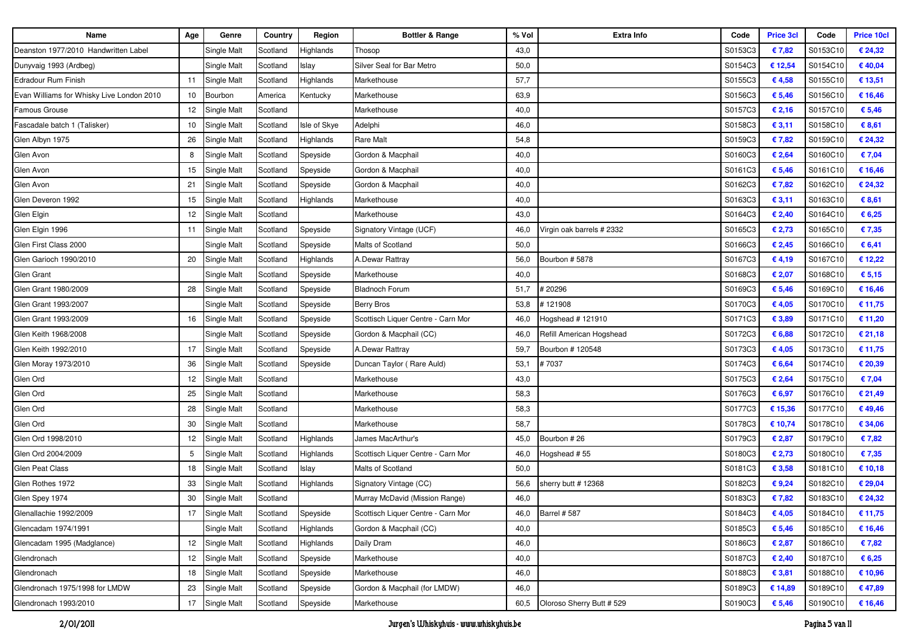| <b>Name</b>                               | Age             | Genre              | Country  | Region       | <b>Bottler &amp; Range</b>         | % Vol | Extra Info                    | Code    | <b>Price 3cl</b> | Code     | <b>Price 10cl</b> |
|-------------------------------------------|-----------------|--------------------|----------|--------------|------------------------------------|-------|-------------------------------|---------|------------------|----------|-------------------|
| Deanston 1977/2010 Handwritten Label      |                 | Single Malt        | Scotland | Highlands    | Thosop                             | 43,0  |                               | S0153C3 | €7,82            | S0153C10 | € 24,32           |
| Dunyvaig 1993 (Ardbeg)                    |                 | Single Malt        | Scotland | Islay        | Silver Seal for Bar Metro          | 50,0  |                               | S0154C3 | € 12,54          | S0154C10 | €40,04            |
| Edradour Rum Finish                       | 11              | Single Malt        | Scotland | Highlands    | Markethouse                        | 57,7  |                               | S0155C3 | €4,58            | S0155C10 | € 13,51           |
| Evan Williams for Whisky Live London 2010 | 10              | Bourbon            | America  | Kentucky     | Markethouse                        | 63,9  |                               | S0156C3 | € 5,46           | S0156C10 | € 16,46           |
| <b>Famous Grouse</b>                      | 12              | Single Malt        | Scotland |              | Markethouse                        | 40,0  |                               | S0157C3 | € 2,16           | S0157C10 | € 5,46            |
| Fascadale batch 1 (Talisker)              | 10              | Single Malt        | Scotland | Isle of Skye | Adelphi                            | 46,0  |                               | S0158C3 | € 3,11           | S0158C10 | € 8,61            |
| Glen Albyn 1975                           | 26              | Single Malt        | Scotland | Highlands    | <b>Rare Malt</b>                   | 54,8  |                               | S0159C3 | €7,82            | S0159C10 | € 24,32           |
| Glen Avon                                 |                 | Single Malt        | Scotland | Speyside     | Gordon & Macphail                  | 40,0  |                               | S0160C3 | € 2,64           | S0160C10 | € 7,04            |
| Glen Avon                                 | 15              | <b>Single Malt</b> | Scotland | Speyside     | Gordon & Macphail                  | 40,0  |                               | S0161C3 | € 5,46           | S0161C10 | € 16,46           |
| Glen Avon                                 | 21              | Single Malt        | Scotland | Speyside     | Gordon & Macphail                  | 40,0  |                               | S0162C3 | €7,82            | S0162C10 | € 24,32           |
| Glen Deveron 1992                         | 15              | Single Malt        | Scotland | Highlands    | Markethouse                        | 40,0  |                               | S0163C3 | € 3,11           | S0163C10 | € 8,61            |
| Glen Elgin                                | 12              | Single Malt        | Scotland |              | Markethouse                        | 43,0  |                               | S0164C3 | € 2,40           | S0164C10 | € 6,25            |
| Glen Elgin 1996                           | 11              | Single Malt        | Scotland | Speyside     | Signatory Vintage (UCF)            | 46,0  | Virgin oak barrels # 2332     | S0165C3 | € 2,73           | S0165C10 | €7,35             |
| Glen First Class 2000                     |                 | Single Malt        | Scotland | Speyside     | Malts of Scotland                  | 50,0  |                               | S0166C3 | € 2,45           | S0166C10 | € 6,41            |
| Glen Garioch 1990/2010                    | 20              | Single Malt        | Scotland | Highlands    | A.Dewar Rattray                    | 56,0  | Bourbon #5878                 | S0167C3 | €4,19            | S0167C10 | € 12,22           |
| Glen Grant                                |                 | Single Malt        | Scotland | Speyside     | Markethouse                        | 40,0  |                               | S0168C3 | € 2,07           | S0168C10 | € 5,15            |
| Glen Grant 1980/2009                      | 28              | Single Malt        | Scotland | Speyside     | <b>Bladnoch Forum</b>              | 51,7  | #20296                        | S0169C3 | € 5,46           | S0169C10 | € 16,46           |
| Glen Grant 1993/2007                      |                 | Single Malt        | Scotland | Speyside     | <b>Berry Bros</b>                  | 53,8  | 121908                        | S0170C3 | €4,05            | S0170C10 | € 11,75           |
| Glen Grant 1993/2009                      | 16              | Single Malt        | Scotland | Speyside     | Scottisch Liquer Centre - Carn Mor | 46,0  | Hogshead # 121910             | S0171C3 | € 3,89           | S0171C10 | € 11,20           |
| Glen Keith 1968/2008                      |                 | Single Malt        | Scotland | Speyside     | Gordon & Macphail (CC)             | 46,0  | Refill American Hogshead      | S0172C3 | € 6,88           | S0172C10 | € 21,18           |
| Glen Keith 1992/2010                      | 17              | Single Malt        | Scotland | Speyside     | A.Dewar Rattray                    | 59,7  | Bourbon # 120548              | S0173C3 | €4,05            | S0173C10 | € 11,75           |
| Glen Moray 1973/2010                      | 36              | Single Malt        | Scotland | Speyside     | Duncan Taylor (Rare Auld)          | 53,1  | #7037                         | S0174C3 | € 6,64           | S0174C10 | € 20,39           |
| Glen Ord                                  | 12              | Single Malt        | Scotland |              | Markethouse                        | 43,0  |                               | S0175C3 | € 2,64           | S0175C10 | € 7,04            |
| Glen Ord                                  | 25              | Single Malt        | Scotland |              | Markethouse                        | 58,3  |                               | S0176C3 | € 6,97           | S0176C10 | € 21,49           |
| Glen Ord                                  | 28              | Single Malt        | Scotland |              | Markethouse                        | 58,3  |                               | S0177C3 | € 15,36          | S0177C10 | €49,46            |
| Glen Ord                                  | 30              | Single Malt        | Scotland |              | Markethouse                        | 58,7  |                               | S0178C3 | € 10,74          | S0178C10 | € 34,06           |
| Glen Ord 1998/2010                        | 12              | Single Malt        | Scotland | Highlands    | James MacArthur's                  | 45,0  | Bourbon #26                   | S0179C3 | € 2,87           | S0179C10 | € 7,82            |
| Glen Ord 2004/2009                        | 5               | Single Malt        | Scotland | Highlands    | Scottisch Liquer Centre - Carn Mor | 46,0  | Hogshead #55                  | S0180C3 | € 2,73           | S0180C10 | €7,35             |
| Glen Peat Class                           | 18              | Single Malt        | Scotland | Islay        | Malts of Scotland                  | 50,0  |                               | S0181C3 | € 3,58           | S0181C10 | € 10,18           |
| Glen Rothes 1972                          | 33              | Single Malt        | Scotland | Highlands    | Signatory Vintage (CC)             | 56,6  | sherry butt # 12368           | S0182C3 | € $9,24$         | S0182C10 | € 29,04           |
| Glen Spey 1974                            | 30              | Single Malt        | Scotland |              | Murray McDavid (Mission Range)     | 46,0  |                               | S0183C3 | €7,82            | S0183C10 | € 24,32           |
| Glenallachie 1992/2009                    | 17              | Single Malt        | Scotland | Speyside     | Scottisch Liquer Centre - Carn Mor |       | 46,0 Barrel # 587             | S0184C3 | € 4,05           | S0184C10 | € 11,75           |
| Glencadam 1974/1991                       |                 | Single Malt        | Scotland | Highlands    | Gordon & Macphail (CC)             | 40,0  |                               | S0185C3 | € 5,46           | S0185C10 | € 16,46           |
| Glencadam 1995 (Madglance)                | 12 <sup>°</sup> | Single Malt        | Scotland | Highlands    | Daily Dram                         | 46,0  |                               | S0186C3 | € 2,87           | S0186C10 | € 7,82            |
| Glendronach                               | 12              | Single Malt        | Scotland | Speyside     | Markethouse                        | 40,0  |                               | S0187C3 | € 2,40           | S0187C10 | € 6,25            |
| Glendronach                               | 18              | Single Malt        | Scotland | Speyside     | Markethouse                        | 46,0  |                               | S0188C3 | € 3,81           | S0188C10 | € 10,96           |
| Glendronach 1975/1998 for LMDW            | 23              | Single Malt        | Scotland | Speyside     | Gordon & Macphail (for LMDW)       | 46,0  |                               | S0189C3 | € 14,89          | S0189C10 | € 47,89           |
| Glendronach 1993/2010                     |                 | 17 Single Malt     | Scotland | Speyside     | Markethouse                        |       | 60,5 Oloroso Sherry Butt #529 | S0190C3 | € 5,46           | S0190C10 | € 16,46           |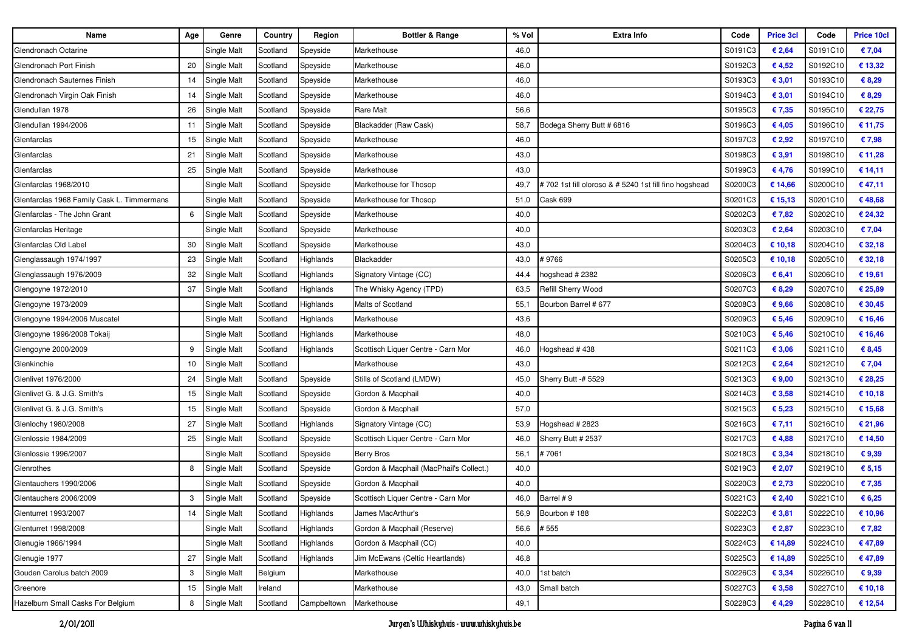| Name                                       | Age | Genre              | Country  | Region      | <b>Bottler &amp; Range</b>              | % Vol | <b>Extra Info</b>                                    | Code    | <b>Price 3cl</b> | Code     | <b>Price 10cl</b> |
|--------------------------------------------|-----|--------------------|----------|-------------|-----------------------------------------|-------|------------------------------------------------------|---------|------------------|----------|-------------------|
| Glendronach Octarine                       |     | Single Malt        | Scotland | Speyside    | Markethouse                             | 46,0  |                                                      | S0191C3 | € 2,64           | S0191C10 | € 7,04            |
| Glendronach Port Finish                    | 20  | Single Malt        | Scotland | Speyside    | Markethouse                             | 46,0  |                                                      | S0192C3 | €4,52            | S0192C10 | € 13,32           |
| Glendronach Sauternes Finish               | 14  | Single Malt        | Scotland | Speyside    | Markethouse                             | 46,0  |                                                      | S0193C3 | € 3,01           | S0193C10 | € 8,29            |
| Glendronach Virgin Oak Finish              | 14  | Single Malt        | Scotland | Speyside    | Markethouse                             | 46,0  |                                                      | S0194C3 | € 3,01           | S0194C10 | € 8,29            |
| Glendullan 1978                            | 26  | Single Malt        | Scotland | Speyside    | <b>Rare Malt</b>                        | 56,6  |                                                      | S0195C3 | € 7,35           | S0195C10 | € 22,75           |
| Glendullan 1994/2006                       | 11  | <b>Single Malt</b> | Scotland | Speyside    | Blackadder (Raw Cask)                   | 58,7  | Bodega Sherry Butt # 6816                            | S0196C3 | € 4,05           | S0196C10 | € 11,75           |
| Glenfarclas                                | 15  | Single Malt        | Scotland | Speyside    | Markethouse                             | 46,0  |                                                      | S0197C3 | € 2,92           | S0197C10 | € 7,98            |
| Glenfarclas                                | 21  | Single Malt        | Scotland | Speyside    | Markethouse                             | 43,0  |                                                      | S0198C3 | € 3,91           | S0198C10 | € 11,28           |
| Glenfarclas                                | 25  | Single Malt        | Scotland | Speyside    | Markethouse                             | 43,0  |                                                      | S0199C3 | €4,76            | S0199C10 | € 14,11           |
| Glenfarclas 1968/2010                      |     | Single Malt        | Scotland | Speyside    | Markethouse for Thosop                  | 49,7  | #702 1st fill oloroso & #5240 1st fill fino hogshead | S0200C3 | € 14,66          | S0200C10 | €47,11            |
| Glenfarclas 1968 Family Cask L. Timmermans |     | Single Malt        | Scotland | Speyside    | Markethouse for Thosop                  | 51,0  | Cask 699                                             | S0201C3 | € 15,13          | S0201C10 | €48,68            |
| Glenfarclas - The John Grant               | 6   | Single Malt        | Scotland | Speyside    | Markethouse                             | 40,0  |                                                      | S0202C3 | €7,82            | S0202C10 | € 24,32           |
| Glenfarclas Heritage                       |     | Single Malt        | Scotland | Speyside    | Markethouse                             | 40,0  |                                                      | S0203C3 | € 2,64           | S0203C10 | € 7,04            |
| Glenfarclas Old Label                      | 30  | Single Malt        | Scotland | Speyside    | Markethouse                             | 43,0  |                                                      | S0204C3 | € 10,18          | S0204C10 | € 32,18           |
| Glenglassaugh 1974/1997                    | 23  | Single Malt        | Scotland | Highlands   | Blackadder                              | 43,0  | #9766                                                | S0205C3 | € 10,18          | S0205C10 | € 32,18           |
| Glenglassaugh 1976/2009                    | 32  | Single Malt        | Scotland | Highlands   | Signatory Vintage (CC)                  | 44,4  | ogshead #2382                                        | S0206C3 | € 6,41           | S0206C10 | € 19,61           |
| Glengoyne 1972/2010                        | 37  | Single Malt        | Scotland | Highlands   | The Whisky Agency (TPD)                 | 63,5  | Refill Sherry Wood                                   | S0207C3 | € 8,29           | S0207C10 | € 25,89           |
| Glengoyne 1973/2009                        |     | Single Malt        | Scotland | Highlands   | Malts of Scotland                       | 55,1  | Bourbon Barrel # 677                                 | S0208C3 | €9,66            | S0208C10 | € 30,45           |
| Glengoyne 1994/2006 Muscatel               |     | Single Malt        | Scotland | Highlands   | Markethouse                             | 43,6  |                                                      | S0209C3 | € 5,46           | S0209C10 | € 16,46           |
| Glengoyne 1996/2008 Tokaij                 |     | Single Malt        | Scotland | Highlands   | Markethouse                             | 48,0  |                                                      | S0210C3 | € 5,46           | S0210C10 | € 16,46           |
| Glengoyne 2000/2009                        | 9   | Single Malt        | Scotland | Highlands   | Scottisch Liquer Centre - Carn Mor      | 46,0  | logshead # 438                                       | S0211C3 | € 3,06           | S0211C10 | € 8,45            |
| Glenkinchie                                | 10  | Single Malt        | Scotland |             | Markethouse                             | 43,0  |                                                      | S0212C3 | € 2,64           | S0212C10 | € 7,04            |
| Glenlivet 1976/2000                        | 24  | Single Malt        | Scotland | Speyside    | Stills of Scotland (LMDW)               | 45,0  | Sherry Butt -# 5529                                  | S0213C3 | € 9,00           | S0213C10 | € 28,25           |
| Glenlivet G. & J.G. Smith's                | 15  | Single Malt        | Scotland | Speyside    | Gordon & Macphail                       | 40,0  |                                                      | S0214C3 | € 3,58           | S0214C10 | € 10,18           |
| Glenlivet G. & J.G. Smith's                | 15  | Single Malt        | Scotland | Speyside    | Gordon & Macphail                       | 57,0  |                                                      | S0215C3 | € 5,23           | S0215C10 | € 15,68           |
| Glenlochy 1980/2008                        | 27  | Single Malt        | Scotland | Highlands   | Signatory Vintage (CC)                  | 53,9  | logshead # 2823                                      | S0216C3 | € 7,11           | S0216C10 | € 21,96           |
| Glenlossie 1984/2009                       | 25  | Single Malt        | Scotland | Speyside    | Scottisch Liquer Centre - Carn Mor      | 46,0  | Sherry Butt # 2537                                   | S0217C3 | €4,88            | S0217C10 | € 14,50           |
| Glenlossie 1996/2007                       |     | Single Malt        | Scotland | Speyside    | Berry Bros                              | 56,1  | #7061                                                | S0218C3 | € 3,34           | S0218C10 | €9,39             |
| Glenrothes                                 | 8   | Single Malt        | Scotland | Speyside    | Gordon & Macphail (MacPhail's Collect.) | 40,0  |                                                      | S0219C3 | € 2,07           | S0219C10 | € 5,15            |
| Glentauchers 1990/2006                     |     | Single Malt        | Scotland | Speyside    | Gordon & Macphail                       | 40,0  |                                                      | S0220C3 | € 2,73           | S0220C10 | € 7,35            |
| Glentauchers 2006/2009                     | 3   | Single Malt        | Scotland | Speyside    | Scottisch Liquer Centre - Carn Mor      | 46,0  | Barrel #9                                            | S0221C3 | € 2,40           | S0221C10 | € 6,25            |
| Glenturret 1993/2007                       | 14  | Single Malt        | Scotland | Highlands   | James MacArthur's                       |       | 56,9 Bourbon #188                                    | S0222C3 | € 3,81           | S0222C10 | € 10,96           |
| Glenturret 1998/2008                       |     | Single Malt        | Scotland | Highlands   | Gordon & Macphail (Reserve)             | 56,6  | # 555                                                | S0223C3 | € 2,87           | S0223C10 | € 7,82            |
| Glenugie 1966/1994                         |     | Single Malt        | Scotland | Highlands   | Gordon & Macphail (CC)                  | 40,0  |                                                      | S0224C3 | € 14,89          | S0224C10 | € 47,89           |
| Glenugie 1977                              | 27  | <b>Single Malt</b> | Scotland | Highlands   | Jim McEwans (Celtic Heartlands)         | 46,8  |                                                      | S0225C3 | € 14,89          | S0225C10 | €47,89            |
| Gouden Carolus batch 2009                  | 3   | Single Malt        | Belgium  |             | Markethouse                             | 40,0  | 1st batch                                            | S0226C3 | € 3,34           | S0226C10 | €9,39             |
| Greenore                                   | 15  | Single Malt        | Ireland  |             | Markethouse                             | 43,0  | Small batch                                          | S0227C3 | € 3,58           | S0227C10 | € 10,18           |
| Hazelburn Small Casks For Belgium          | 8   | Single Malt        | Scotland | Campbeltown | Markethouse                             | 49,1  |                                                      | S0228C3 | € 4,29           | S0228C10 | € 12,54           |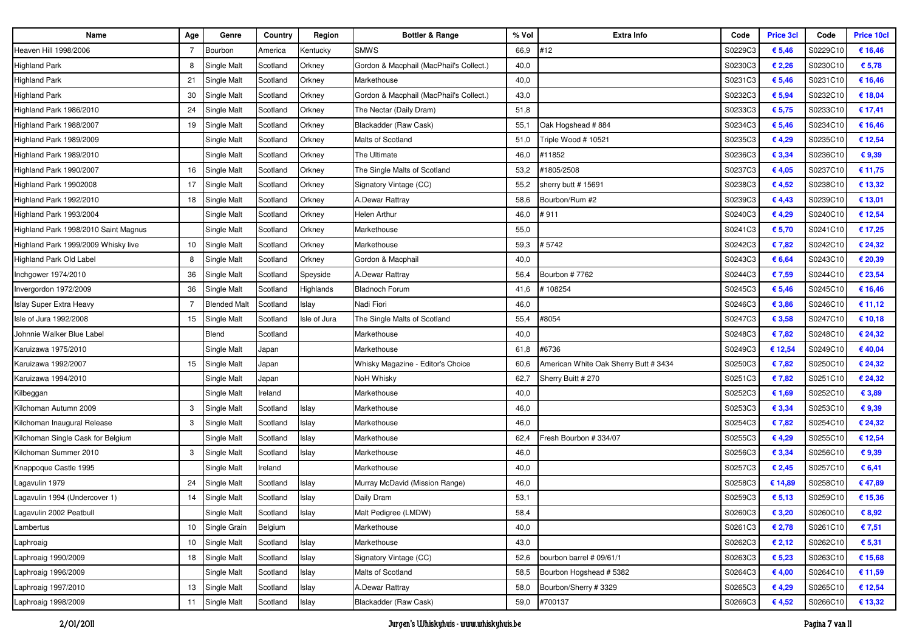| Name                                 | Age | Genre               | Country  | Region       | <b>Bottler &amp; Range</b>              | % Vol | <b>Extra Info</b>                     | Code    | <b>Price 3cl</b> | Code     | <b>Price 10cl</b> |
|--------------------------------------|-----|---------------------|----------|--------------|-----------------------------------------|-------|---------------------------------------|---------|------------------|----------|-------------------|
| Heaven Hill 1998/2006                |     | Bourbon             | America  | Kentucky     | <b>SMWS</b>                             | 66,9  | #12                                   | S0229C3 | € 5,46           | S0229C10 | € 16,46           |
| <b>Highland Park</b>                 | 8   | Single Malt         | Scotland | Orkney       | Gordon & Macphail (MacPhail's Collect.) | 40,0  |                                       | S0230C3 | € 2,26           | S0230C10 | € 5,78            |
| <b>Highland Park</b>                 | 21  | Single Malt         | Scotland | Orkney       | Markethouse                             | 40,0  |                                       | S0231C3 | € 5,46           | S0231C10 | € 16,46           |
| <b>Highland Park</b>                 | 30  | Single Malt         | Scotland | Orkney       | Gordon & Macphail (MacPhail's Collect.) | 43,0  |                                       | S0232C3 | € 5,94           | S0232C10 | € 18,04           |
| Highland Park 1986/2010              | 24  | Single Malt         | Scotland | Orkney       | The Nectar (Daily Dram)                 | 51,8  |                                       | S0233C3 | € 5,75           | S0233C10 | € 17,41           |
| Highland Park 1988/2007              | 19  | Single Malt         | Scotland | Orkney       | Blackadder (Raw Cask)                   | 55,1  | Oak Hogshead #884                     | S0234C3 | € 5,46           | S0234C10 | € 16,46           |
| Highland Park 1989/2009              |     | Single Malt         | Scotland | Orkney       | Malts of Scotland                       | 51,0  | Friple Wood # 10521                   | S0235C3 | € 4,29           | S0235C10 | € 12,54           |
| Highland Park 1989/2010              |     | Single Malt         | Scotland | Orkney       | The Ultimate                            | 46,0  | #11852                                | S0236C3 | € 3,34           | S0236C10 | € 9,39            |
| Highland Park 1990/2007              | 16  | Single Malt         | Scotland | Orkney       | The Single Malts of Scotland            | 53,2  | #1805/2508                            | S0237C3 | €4,05            | S0237C10 | € 11,75           |
| Highland Park 19902008               | 17  | Single Malt         | Scotland | Orkney       | Signatory Vintage (CC)                  | 55,2  | sherry butt # 15691                   | S0238C3 | €4,52            | S0238C10 | € 13,32           |
| Highland Park 1992/2010              | 18  | Single Malt         | Scotland | Orkney       | A.Dewar Rattray                         | 58,6  | Bourbon/Rum #2                        | S0239C3 | €4,43            | S0239C10 | € 13,01           |
| Highland Park 1993/2004              |     | Single Malt         | Scotland | Orkney       | <b>Helen Arthur</b>                     | 46,0  | #911                                  | S0240C3 | €4,29            | S0240C10 | € 12,54           |
| Highland Park 1998/2010 Saint Magnus |     | Single Malt         | Scotland | Orkney       | Markethouse                             | 55,0  |                                       | S0241C3 | € 5,70           | S0241C10 | € 17,25           |
| Highland Park 1999/2009 Whisky live  | 10  | Single Malt         | Scotland | Orkney       | Markethouse                             | 59,3  | # 5742                                | S0242C3 | €7,82            | S0242C10 | € 24,32           |
| Highland Park Old Label              | 8   | Single Malt         | Scotland | Orkney       | Gordon & Macphail                       | 40,0  |                                       | S0243C3 | € 6,64           | S0243C10 | € 20,39           |
| Inchgower 1974/2010                  | 36  | Single Malt         | Scotland | Speyside     | A.Dewar Rattray                         | 56,4  | Bourbon #7762                         | S0244C3 | €7,59            | S0244C10 | € 23,54           |
| Invergordon 1972/2009                | 36  | Single Malt         | Scotland | Highlands    | <b>Bladnoch Forum</b>                   | 41,6  | 108254                                | S0245C3 | € 5,46           | S0245C10 | € 16,46           |
| Islay Super Extra Heavy              |     | <b>Blended Malt</b> | Scotland | Islay        | Nadi Fiori                              | 46,0  |                                       | S0246C3 | € 3,86           | S0246C10 | € 11,12           |
| Isle of Jura 1992/2008               | 15  | Single Malt         | Scotland | Isle of Jura | The Single Malts of Scotland            | 55,4  | #8054                                 | S0247C3 | € 3,58           | S0247C10 | € 10,18           |
| Johnnie Walker Blue Label            |     | Blend               | Scotland |              | Markethouse                             | 40,0  |                                       | S0248C3 | €7,82            | S0248C10 | € 24,32           |
| Karuizawa 1975/2010                  |     | Single Malt         | Japan    |              | Markethouse                             | 61,8  | #6736                                 | S0249C3 | € 12,54          | S0249C10 | €40,04            |
| Karuizawa 1992/2007                  | 15  | Single Malt         | Japan    |              | Whisky Magazine - Editor's Choice       | 60,6  | American White Oak Sherry Butt # 3434 | S0250C3 | €7,82            | S0250C10 | € 24,32           |
| Karuizawa 1994/2010                  |     | Single Malt         | Japan    |              | NoH Whisky                              | 62,7  | Sherry Buitt # 270                    | S0251C3 | €7,82            | S0251C10 | € 24,32           |
| Kilbeggan                            |     | Single Malt         | Ireland  |              | Markethouse                             | 40,0  |                                       | S0252C3 | € 1,69           | S0252C10 | € 3,89            |
| Kilchoman Autumn 2009                | 3   | Single Malt         | Scotland | Islay        | Markethouse                             | 46,0  |                                       | S0253C3 | € 3,34           | S0253C10 | € 9,39            |
| Kilchoman Inaugural Release          | 3   | Single Malt         | Scotland | Islay        | Markethouse                             | 46,0  |                                       | S0254C3 | €7,82            | S0254C10 | € 24,32           |
| Kilchoman Single Cask for Belgium    |     | Single Malt         | Scotland | Islay        | Markethouse                             | 62,4  | Fresh Bourbon # 334/07                | S0255C3 | €4,29            | S0255C10 | € 12,54           |
| Kilchoman Summer 2010                | 3   | Single Malt         | Scotland | Islay        | Markethouse                             | 46,0  |                                       | S0256C3 | € 3,34           | S0256C10 | € 9,39            |
| Knappoque Castle 1995                |     | Single Malt         | Ireland  |              | Markethouse                             | 40,0  |                                       | S0257C3 | € 2,45           | S0257C10 | € 6,41            |
| Lagavulin 1979                       | 24  | Single Malt         | Scotland | Islay        | Murray McDavid (Mission Range)          | 46,0  |                                       | S0258C3 | € 14,89          | S0258C10 | €47,89            |
| Lagavulin 1994 (Undercover 1)        | 14  | Single Malt         | Scotland | Islay        | Daily Dram                              | 53,1  |                                       | S0259C3 | € 5,13           | S0259C10 | € 15,36           |
| Lagavulin 2002 Peatbull              |     | Single Malt         | Scotland | Islay        | Malt Pedigree (LMDW)                    | 58,4  |                                       | S0260C3 | € 3,20           | S0260C10 | € 8,92            |
| Lambertus                            | 10  | Single Grain        | Belgium  |              | Markethouse                             | 40,0  |                                       | S0261C3 | € 2,78           | S0261C10 | € 7,51            |
| Laphroaig                            | 10  | Single Malt         | Scotland | Islay        | Markethouse                             | 43,0  |                                       | S0262C3 | € 2,12           | S0262C10 | € 5,31            |
| Laphroaig 1990/2009                  | 18  | Single Malt         | Scotland | Islay        | Signatory Vintage (CC)                  | 52,6  | bourbon barrel # 09/61/1              | S0263C3 | € 5,23           | S0263C10 | € 15,68           |
| Laphroaig 1996/2009                  |     | Single Malt         | Scotland | Islay        | Malts of Scotland                       | 58,5  | Bourbon Hogshead # 5382               | S0264C3 | € 4,00           | S0264C10 | € 11,59           |
| Laphroaig 1997/2010                  | 13  | Single Malt         | Scotland | Islay        | A.Dewar Rattray                         | 58,0  | Bourbon/Sherry #3329                  | S0265C3 | € 4,29           | S0265C10 | € 12,54           |
| Laphroaig 1998/2009                  | 11  | Single Malt         | Scotland | Islay        | Blackadder (Raw Cask)                   | 59,0  | #700137                               | S0266C3 | €4,52            | S0266C10 | € 13,32           |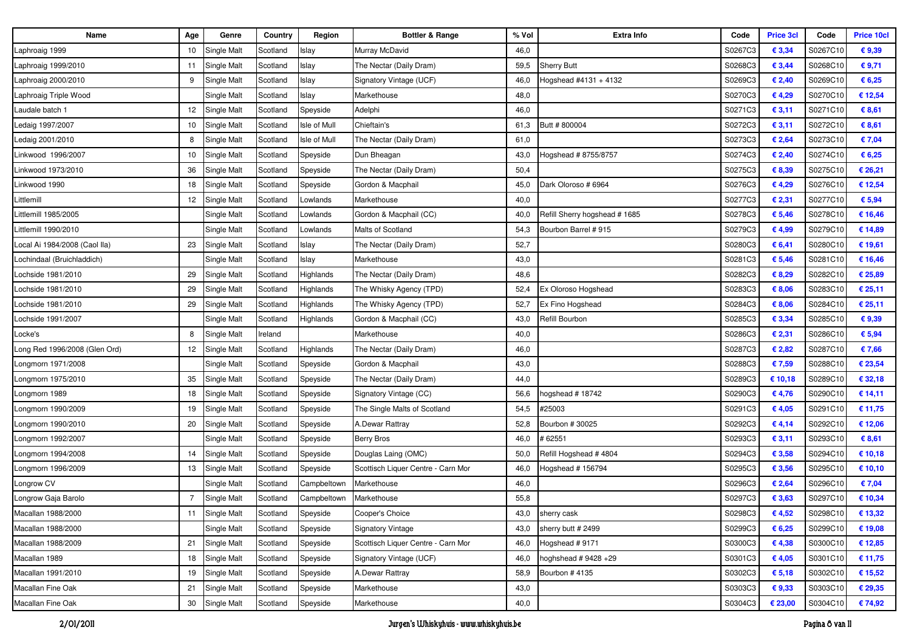| Name                          | Age            | Genre              | Country  | Region       | <b>Bottler &amp; Range</b>         | % Vol | <b>Extra Info</b>            | Code    | <b>Price 3cl</b> | Code     | <b>Price 10cl</b> |
|-------------------------------|----------------|--------------------|----------|--------------|------------------------------------|-------|------------------------------|---------|------------------|----------|-------------------|
| Laphroaig 1999                | 10             | Single Malt        | Scotland | Islay        | Murray McDavid                     | 46,0  |                              | S0267C3 | € 3,34           | S0267C10 | €9,39             |
| Laphroaig 1999/2010           | 11             | Single Malt        | Scotland | Islay        | The Nectar (Daily Dram)            | 59,5  | <b>Sherry Butt</b>           | S0268C3 | € 3,44           | S0268C10 | €9,71             |
| aphroaig 2000/2010            | 9              | Single Malt        | Scotland | Islay        | Signatory Vintage (UCF)            | 46,0  | Hogshead #4131 + 4132        | S0269C3 | € 2,40           | S0269C10 | € 6,25            |
| aphroaig Triple Wood.         |                | Single Malt        | Scotland | Islay        | Markethouse                        | 48,0  |                              | S0270C3 | € 4,29           | S0270C10 | € 12,54           |
| Laudale batch 1               | 12             | Single Malt        | Scotland | Speyside     | Adelphi                            | 46,0  |                              | S0271C3 | € 3,11           | S0271C10 | € 8,61            |
| Ledaig 1997/2007              | 10             | <b>Single Malt</b> | Scotland | Isle of Mull | Chieftain's                        | 61,3  | Butt #800004                 | S0272C3 | € 3,11           | S0272C10 | € 8,61            |
| Ledaig 2001/2010              | 8              | Single Malt        | Scotland | Isle of Mull | The Nectar (Daily Dram)            | 61,0  |                              | S0273C3 | € 2,64           | S0273C10 | € 7,04            |
| Linkwood 1996/2007            | 10             | Single Malt        | Scotland | Speyside     | Dun Bheagan                        | 43,0  | Hogshead # 8755/8757         | S0274C3 | € 2,40           | S0274C10 | € 6,25            |
| Linkwood 1973/2010            | 36             | Single Malt        | Scotland | Speyside     | The Nectar (Daily Dram)            | 50,4  |                              | S0275C3 | € 8,39           | S0275C10 | € 26,21           |
| Linkwood 1990                 | 18             | Single Malt        | Scotland | Speyside     | Gordon & Macphail                  | 45,0  | Dark Oloroso # 6964          | S0276C3 | € 4,29           | S0276C10 | € 12,54           |
| Littlemill                    | 12             | Single Malt        | Scotland | Lowlands     | Markethouse                        | 40,0  |                              | S0277C3 | € 2,31           | S0277C10 | € 5,94            |
| Littlemill 1985/2005          |                | Single Malt        | Scotland | Lowlands     | Gordon & Macphail (CC)             | 40,0  | Refill Sherry hogshead #1685 | S0278C3 | € 5,46           | S0278C10 | € 16,46           |
| Littlemill 1990/2010          |                | Single Malt        | Scotland | _owlands     | Malts of Scotland                  | 54,3  | Bourbon Barrel # 915         | S0279C3 | € 4,99           | S0279C10 | € 14,89           |
| Local Ai 1984/2008 (Caol lla) | 23             | Single Malt        | Scotland | Islay        | The Nectar (Daily Dram)            | 52,7  |                              | S0280C3 | € 6,41           | S0280C10 | € 19,61           |
| Lochindaal (Bruichladdich)    |                | Single Malt        | Scotland | Islay        | Markethouse                        | 43,0  |                              | S0281C3 | € 5,46           | S0281C10 | € 16,46           |
| Lochside 1981/2010            | 29             | Single Malt        | Scotland | Highlands    | The Nectar (Daily Dram)            | 48,6  |                              | S0282C3 | € 8,29           | S0282C10 | € 25,89           |
| Lochside 1981/2010            | 29             | Single Malt        | Scotland | Highlands    | The Whisky Agency (TPD)            | 52,4  | Ex Oloroso Hogshead          | S0283C3 | € 8,06           | S0283C10 | € 25,11           |
| Lochside 1981/2010            | 29             | Single Malt        | Scotland | Highlands    | The Whisky Agency (TPD)            | 52,7  | Ex Fino Hogshead             | S0284C3 | € 8,06           | S0284C10 | € 25,11           |
| Lochside 1991/2007            |                | Single Malt        | Scotland | Highlands    | Gordon & Macphail (CC)             | 43,0  | Refill Bourbon               | S0285C3 | € 3,34           | S0285C10 | €9,39             |
| Locke's                       | 8              | Single Malt        | Ireland  |              | Markethouse                        | 40,0  |                              | S0286C3 | € 2,31           | S0286C10 | € 5,94            |
| Long Red 1996/2008 (Glen Ord) | 12             | Single Malt        | Scotland | Highlands    | The Nectar (Daily Dram)            | 46,0  |                              | S0287C3 | € 2,82           | S0287C10 | €7,66             |
| Longmorn 1971/2008            |                | Single Malt        | Scotland | Speyside     | Gordon & Macphail                  | 43,0  |                              | S0288C3 | € 7,59           | S0288C10 | € 23,54           |
| Longmorn 1975/2010            | 35             | Single Malt        | Scotland | Speyside     | The Nectar (Daily Dram)            | 44,0  |                              | S0289C3 | € 10,18          | S0289C10 | € 32,18           |
| Longmorn 1989                 | 18             | Single Malt        | Scotland | Speyside     | Signatory Vintage (CC)             | 56,6  | 10gshead # 18742             | S0290C3 | €4,76            | S0290C10 | € 14,11           |
| Longmorn 1990/2009            | 19             | Single Malt        | Scotland | Speyside     | The Single Malts of Scotland       | 54,5  | #25003                       | S0291C3 | €4,05            | S0291C10 | € 11,75           |
| Longmorn 1990/2010            | 20             | Single Malt        | Scotland | Speyside     | A.Dewar Rattray                    | 52,8  | Bourbon # 30025              | S0292C3 | €4,14            | S0292C10 | € 12,06           |
| Longmorn 1992/2007            |                | Single Malt        | Scotland | Speyside     | Berry Bros                         | 46,0  | 162551                       | S0293C3 | € 3,11           | S0293C10 | € 8,61            |
| Longmorn 1994/2008            | 14             | Single Malt        | Scotland | Speyside     | Douglas Laing (OMC)                | 50,0  | Refill Hogshead # 4804       | S0294C3 | € 3,58           | S0294C10 | € 10,18           |
| Longmorn 1996/2009            | 13             | Single Malt        | Scotland | Speyside     | Scottisch Liquer Centre - Carn Mor | 46,0  | Hogshead # 156794            | S0295C3 | € 3,56           | S0295C10 | € 10,10           |
| Longrow CV                    |                | Single Malt        | Scotland | Campbeltown  | Markethouse                        | 46,0  |                              | S0296C3 | € 2,64           | S0296C10 | € 7,04            |
| Longrow Gaja Barolo           | $\overline{7}$ | <b>Single Malt</b> | Scotland | Campbeltown  | Markethouse                        | 55,8  |                              | S0297C3 | € 3,63           | S0297C10 | € 10,34           |
| Macallan 1988/2000            | 11             | Single Malt        | Scotland | Speyside     | Cooper's Choice                    |       | 43,0 sherry cask             | S0298C3 | € 4,52           | S0298C10 | € 13,32           |
| Macallan 1988/2000            |                | Single Malt        | Scotland | Speyside     | Signatory Vintage                  | 43,0  | sherry butt # 2499           | S0299C3 | € 6,25           | S0299C10 | € 19,08           |
| Macallan 1988/2009            | 21             | <b>Single Malt</b> | Scotland | Speyside     | Scottisch Liquer Centre - Carn Mor | 46,0  | Hogshead #9171               | S0300C3 | €4,38            | S0300C10 | € 12,85           |
| Macallan 1989                 |                | 18 Single Malt     | Scotland | Speyside     | Signatory Vintage (UCF)            | 46,0  | hoghshead $# 9428 +29$       | S0301C3 | €4,05            | S0301C10 | € 11,75           |
| Macallan 1991/2010            | 19             | Single Malt        | Scotland | Speyside     | A.Dewar Rattray                    | 58,9  | Bourbon #4135                | S0302C3 | € 5,18           | S0302C10 | € 15,52           |
| Macallan Fine Oak             | 21             | <b>Single Malt</b> | Scotland | Speyside     | Markethouse                        | 43,0  |                              | S0303C3 | € 9,33           | S0303C10 | € 29,35           |
| Macallan Fine Oak             | 30             | <b>Single Malt</b> | Scotland | Speyside     | Markethouse                        | 40,0  |                              | S0304C3 | € 23,00          | S0304C10 | € 74,92           |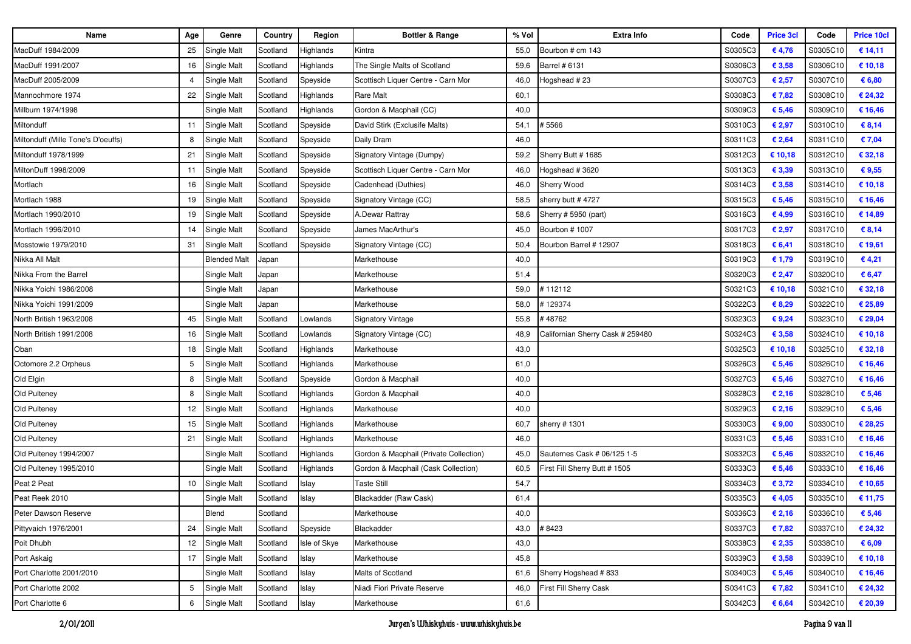| Name                               | Age | Genre               | Country  | Region       | <b>Bottler &amp; Range</b>             | % Vol | <b>Extra Info</b>                | Code    | <b>Price 3cl</b> | Code     | <b>Price 10cl</b> |
|------------------------------------|-----|---------------------|----------|--------------|----------------------------------------|-------|----------------------------------|---------|------------------|----------|-------------------|
| MacDuff 1984/2009                  | 25  | Single Malt         | Scotland | Highlands    | Kintra                                 | 55,0  | Bourbon # cm 143                 | S0305C3 | € 4,76           | S0305C10 | € 14,11           |
| MacDuff 1991/2007                  | 16  | Single Malt         | Scotland | Highlands    | The Single Malts of Scotland           | 59,6  | Barrel # 6131                    | S0306C3 | € 3,58           | S0306C10 | € 10,18           |
| MacDuff 2005/2009                  |     | Single Malt         | Scotland | Speyside     | Scottisch Liquer Centre - Carn Mor     | 46,0  | Hogshead #23                     | S0307C3 | € 2,57           | S0307C10 | € 6,80            |
| Mannochmore 1974                   | 22  | Single Malt         | Scotland | Highlands    | Rare Malt                              | 60,1  |                                  | S0308C3 | €7,82            | S0308C10 | € 24,32           |
| Millburn 1974/1998                 |     | Single Malt         | Scotland | Highlands    | Gordon & Macphail (CC)                 | 40,0  |                                  | S0309C3 | € 5,46           | S0309C10 | € 16,46           |
| Miltonduff                         | 11  | Single Malt         | Scotland | Speyside     | David Stirk (Exclusife Malts)          | 54,1  | # 5566                           | S0310C3 | € 2,97           | S0310C10 | € 8,14            |
| Miltonduff (Mille Tone's D'oeuffs) | 8   | Single Malt         | Scotland | Speyside     | Daily Dram                             | 46,0  |                                  | S0311C3 | € 2,64           | S0311C10 | € 7,04            |
| Miltonduff 1978/1999               | 21  | Single Malt         | Scotland | Speyside     | Signatory Vintage (Dumpy)              | 59,2  | Sherry Butt # 1685               | S0312C3 | € 10,18          | S0312C10 | € 32,18           |
| MiltonDuff 1998/2009               | 11  | Single Malt         | Scotland | Speyside     | Scottisch Liquer Centre - Carn Mor     | 46,0  | Hogshead #3620                   | S0313C3 | € 3,39           | S0313C10 | € 9,55            |
| Mortlach                           | 16  | Single Malt         | Scotland | Speyside     | Cadenhead (Duthies)                    | 46,0  | Sherry Wood                      | S0314C3 | € 3,58           | S0314C10 | € 10,18           |
| Mortlach 1988                      | 19  | Single Malt         | Scotland | Speyside     | Signatory Vintage (CC)                 | 58,5  | sherry butt # 4727               | S0315C3 | € 5,46           | S0315C10 | € 16,46           |
| Mortlach 1990/2010                 | 19  | Single Malt         | Scotland | Speyside     | A.Dewar Rattray                        | 58,6  | Sherry # 5950 (part)             | S0316C3 | € 4,99           | S0316C10 | € 14,89           |
| Mortlach 1996/2010                 | 14  | Single Malt         | Scotland | Speyside     | James MacArthur's                      | 45,0  | Bourbon #1007                    | S0317C3 | € 2,97           | S0317C10 | € 8,14            |
| Mosstowie 1979/2010                | 31  | Single Malt         | Scotland | Speyside     | Signatory Vintage (CC)                 | 50,4  | Bourbon Barrel # 12907           | S0318C3 | € 6,41           | S0318C10 | € 19,61           |
| Nikka All Malt                     |     | <b>Blended Malt</b> | Japan    |              | Markethouse                            | 40,0  |                                  | S0319C3 | € 1,79           | S0319C10 | €4,21             |
| Nikka From the Barrel              |     | Single Malt         | Japan    |              | Markethouse                            | 51,4  |                                  | S0320C3 | € 2,47           | S0320C10 | € 6,47            |
| Nikka Yoichi 1986/2008             |     | Single Malt         | Japan    |              | Markethouse                            | 59,0  | 112112                           | S0321C3 | € 10,18          | S0321C10 | € 32,18           |
| Nikka Yoichi 1991/2009             |     | Single Malt         | Japan    |              | Markethouse                            | 58,0  | 129374                           | S0322C3 | € 8,29           | S0322C10 | € 25,89           |
| North British 1963/2008            | 45  | Single Malt         | Scotland | Lowlands     | <b>Signatory Vintage</b>               | 55,8  | #48762                           | S0323C3 | €9,24            | S0323C10 | € 29,04           |
| North British 1991/2008            | 16  | Single Malt         | Scotland | Lowlands     | Signatory Vintage (CC)                 | 48,9  | Californian Sherry Cask # 259480 | S0324C3 | € 3,58           | S0324C10 | € 10,18           |
| Oban                               | 18  | Single Malt         | Scotland | Highlands    | Markethouse                            | 43,0  |                                  | S0325C3 | € 10,18          | S0325C10 | € 32,18           |
| Octomore 2.2 Orpheus               | 5   | Single Malt         | Scotland | Highlands    | Markethouse                            | 61,0  |                                  | S0326C3 | € 5,46           | S0326C10 | € 16,46           |
| Old Elgin                          | 8   | Single Malt         | Scotland | Speyside     | Gordon & Macphail                      | 40,0  |                                  | S0327C3 | € 5,46           | S0327C10 | € 16,46           |
| Old Pulteney                       | 8   | Single Malt         | Scotland | Highlands    | Gordon & Macphail                      | 40,0  |                                  | S0328C3 | € 2,16           | S0328C10 | € 5,46            |
| Old Pulteney                       | 12  | Single Malt         | Scotland | Highlands    | Markethouse                            | 40,0  |                                  | S0329C3 | € 2,16           | S0329C10 | € 5,46            |
| Old Pulteney                       | 15  | <b>Single Malt</b>  | Scotland | Highlands    | Markethouse                            | 60,7  | sherry # 1301                    | S0330C3 | € 9,00           | S0330C10 | € 28,25           |
| Old Pulteney                       | 21  | Single Malt         | Scotland | Highlands    | Markethouse                            | 46,0  |                                  | S0331C3 | € 5,46           | S0331C10 | € 16,46           |
| Old Pulteney 1994/2007             |     | Single Malt         | Scotland | Highlands    | Gordon & Macphail (Private Collection) | 45,0  | Sauternes Cask # 06/125 1-5      | S0332C3 | € 5,46           | S0332C10 | € 16,46           |
| Old Pulteney 1995/2010             |     | Single Malt         | Scotland | Highlands    | Gordon & Macphail (Cask Collection)    | 60,5  | First Fill Sherry Butt # 1505    | S0333C3 | € 5,46           | S0333C10 | € 16,46           |
| Peat 2 Peat                        | 10  | <b>Single Malt</b>  | Scotland | Islay        | Taste Still                            | 54,7  |                                  | S0334C3 | € 3,72           | S0334C10 | € 10,65           |
| Peat Reek 2010                     |     | Single Malt         | Scotland | Islay        | Blackadder (Raw Cask)                  | 61,4  |                                  | S0335C3 | € 4,05           | S0335C10 | € 11,75           |
| Peter Dawson Reserve               |     | Blend               | Scotland |              | Markethouse                            | 40,0  |                                  | S0336C3 | € 2,16           | S0336C10 | € 5,46            |
| Pittyvaich 1976/2001               | 24  | Single Malt         | Scotland | Speyside     | Blackadder                             | 43,0  | #8423                            | S0337C3 | €7,82            | S0337C10 | € 24,32           |
| Poit Dhubh                         |     | 12 Single Malt      | Scotland | Isle of Skye | Markethouse                            | 43,0  |                                  | S0338C3 | € 2,35           | S0338C10 | € 6,09            |
| Port Askaig                        |     | 17 Single Malt      | Scotland | Islay        | Markethouse                            | 45,8  |                                  | S0339C3 | € 3,58           | S0339C10 | € 10,18           |
| Port Charlotte 2001/2010           |     | Single Malt         | Scotland | Islay        | Malts of Scotland                      | 61,6  | Sherry Hogshead #833             | S0340C3 | € 5,46           | S0340C10 | € 16,46           |
| Port Charlotte 2002                | 5   | Single Malt         | Scotland | Islay        | Niadi Fiori Private Reserve            | 46,0  | First Fill Sherry Cask           | S0341C3 | € 7,82           | S0341C10 | € 24,32           |
| Port Charlotte 6                   | 6   | Single Malt         | Scotland | Islay        | Markethouse                            | 61,6  |                                  | S0342C3 | € 6,64           | S0342C10 | € 20,39           |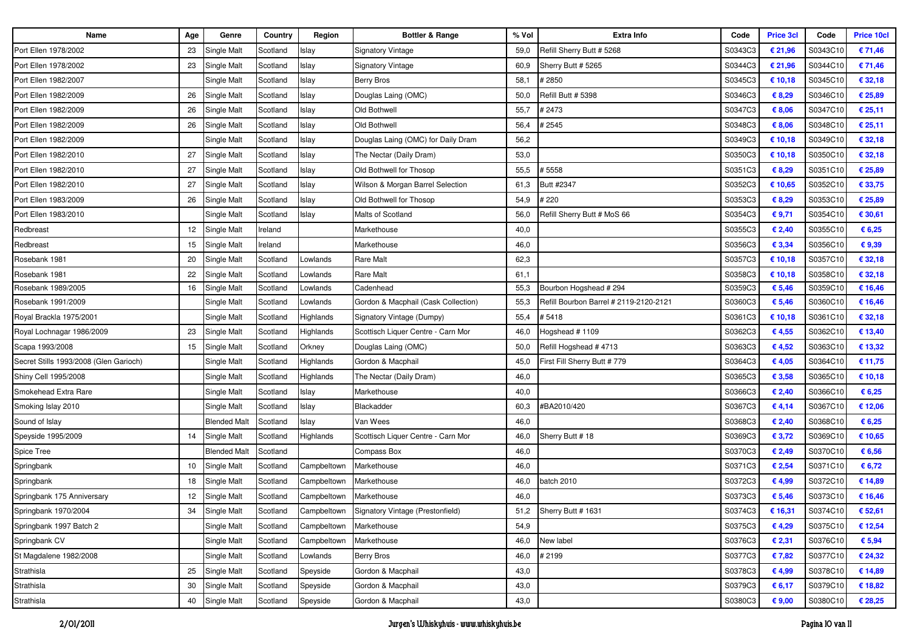| Name                                   | Age | Genre               | Country  | Region      | Bottler & Range                     | % Vol | <b>Extra Info</b>                      | Code    | <b>Price 3cl</b> | Code     | <b>Price 10cl</b> |
|----------------------------------------|-----|---------------------|----------|-------------|-------------------------------------|-------|----------------------------------------|---------|------------------|----------|-------------------|
| Port Ellen 1978/2002                   | 23  | Single Malt         | Scotland | Islay       | <b>Signatory Vintage</b>            | 59,0  | Refill Sherry Butt # 5268              | S0343C3 | € 21,96          | S0343C10 | € 71,46           |
| Port Ellen 1978/2002                   | 23  | Single Malt         | Scotland | Islay       | <b>Signatory Vintage</b>            | 60,9  | Sherry Butt # 5265                     | S0344C3 | € 21,96          | S0344C10 | € 71,46           |
| Port Ellen 1982/2007                   |     | Single Malt         | Scotland | Islay       | <b>Berry Bros</b>                   | 58,1  | #2850                                  | S0345C3 | € 10,18          | S0345C10 | € 32,18           |
| Port Ellen 1982/2009                   | 26  | Single Malt         | Scotland | Islay       | Douglas Laing (OMC)                 | 50,0  | Refill Butt # 5398                     | S0346C3 | € 8,29           | S0346C10 | € 25,89           |
| Port Ellen 1982/2009                   | 26  | Single Malt         | Scotland | Islay       | Old Bothwell                        | 55,7  | # 2473                                 | S0347C3 | € 8,06           | S0347C10 | € 25,11           |
| Port Ellen 1982/2009                   | 26  | Single Malt         | Scotland | Islay       | Old Bothwell                        | 56,4  | #2545                                  | S0348C3 | € 8,06           | S0348C10 | € 25,11           |
| Port Ellen 1982/2009                   |     | Single Malt         | Scotland | Islay       | Douglas Laing (OMC) for Daily Dram  | 56,2  |                                        | S0349C3 | € 10,18          | S0349C10 | € 32,18           |
| Port Ellen 1982/2010                   | 27  | Single Malt         | Scotland | Islay       | The Nectar (Daily Dram)             | 53,0  |                                        | S0350C3 | € 10,18          | S0350C10 | € 32,18           |
| Port Ellen 1982/2010                   | 27  | <b>Single Malt</b>  | Scotland | Islay       | Old Bothwell for Thosop             | 55,5  | # 5558                                 | S0351C3 | € 8,29           | S0351C10 | € 25,89           |
| Port Ellen 1982/2010                   | 27  | Single Malt         | Scotland | Islay       | Wilson & Morgan Barrel Selection    | 61,3  | Butt #2347                             | S0352C3 | € 10,65          | S0352C10 | € 33,75           |
| Port Ellen 1983/2009                   | 26  | Single Malt         | Scotland | Islay       | Old Bothwell for Thosop             | 54,9  | # 220                                  | S0353C3 | € 8,29           | S0353C10 | € 25,89           |
| Port Ellen 1983/2010                   |     | Single Malt         | Scotland | Islay       | Malts of Scotland                   | 56,0  | Refill Sherry Butt # MoS 66            | S0354C3 | € 9,71           | S0354C10 | € 30,61           |
| Redbreast                              | 12  | Single Malt         | Ireland  |             | Markethouse                         | 40,0  |                                        | S0355C3 | € 2,40           | S0355C10 | € 6,25            |
| Redbreast                              | 15  | Single Malt         | Ireland  |             | Markethouse                         | 46,0  |                                        | S0356C3 | € 3,34           | S0356C10 | €9,39             |
| Rosebank 1981                          | 20  | Single Malt         | Scotland | Lowlands    | <b>Rare Malt</b>                    | 62,3  |                                        | S0357C3 | € 10,18          | S0357C10 | € 32,18           |
| Rosebank 1981                          | 22  | Single Malt         | Scotland | Lowlands    | <b>Rare Malt</b>                    | 61,1  |                                        | S0358C3 | € 10,18          | S0358C10 | € 32,18           |
| Rosebank 1989/2005                     | 16  | Single Malt         | Scotland | Lowlands    | Cadenhead                           | 55,3  | Bourbon Hogshead # 294                 | S0359C3 | € 5,46           | S0359C10 | € 16,46           |
| Rosebank 1991/2009                     |     | Single Malt         | Scotland | Lowlands    | Gordon & Macphail (Cask Collection) | 55,3  | Refill Bourbon Barrel # 2119-2120-2121 | S0360C3 | € 5,46           | S0360C10 | € 16,46           |
| Royal Brackla 1975/2001                |     | Single Malt         | Scotland | Highlands   | Signatory Vintage (Dumpy)           | 55,4  | # 5418                                 | S0361C3 | € 10,18          | S0361C10 | € 32,18           |
| Royal Lochnagar 1986/2009              | 23  | Single Malt         | Scotland | Highlands   | Scottisch Liquer Centre - Carn Mor  | 46,0  | Hogshead # 1109                        | S0362C3 | €4,55            | S0362C10 | € 13,40           |
| Scapa 1993/2008                        | 15  | Single Malt         | Scotland | Orkney      | Douglas Laing (OMC)                 | 50,0  | Refill Hogshead # 4713                 | S0363C3 | € 4,52           | S0363C10 | € 13,32           |
| Secret Stills 1993/2008 (Glen Garioch) |     | Single Malt         | Scotland | Highlands   | Gordon & Macphail                   | 45,0  | First Fill Sherry Butt # 779           | S0364C3 | € 4,05           | S0364C10 | € 11,75           |
| Shiny Cell 1995/2008                   |     | Single Malt         | Scotland | Highlands   | The Nectar (Daily Dram)             | 46,0  |                                        | S0365C3 | € 3,58           | S0365C10 | € 10,18           |
| Smokehead Extra Rare                   |     | Single Malt         | Scotland | Islay       | Markethouse                         | 40,0  |                                        | S0366C3 | € 2,40           | S0366C10 | € 6,25            |
| Smoking Islay 2010                     |     | Single Malt         | Scotland | Islay       | Blackadder                          | 60,3  | #BA2010/420                            | S0367C3 | €4,14            | S0367C10 | € 12,06           |
| Sound of Islay                         |     | <b>Blended Malt</b> | Scotland | Islay       | Van Wees                            | 46,0  |                                        | S0368C3 | € 2,40           | S0368C10 | € 6,25            |
| Speyside 1995/2009                     | 14  | <b>Single Malt</b>  | Scotland | Highlands   | Scottisch Liquer Centre - Carn Mor  | 46,0  | Sherry Butt #18                        | S0369C3 | € 3,72           | S0369C10 | € 10,65           |
| Spice Tree                             |     | Blended Malt        | Scotland |             | <b>Compass Box</b>                  | 46,0  |                                        | S0370C3 | € 2,49           | S0370C10 | € 6,56            |
| Springbank                             | 10  | Single Malt         | Scotland | Campbeltown | Markethouse                         | 46,0  |                                        | S0371C3 | € 2,54           | S0371C10 | € 6,72            |
| Springbank                             | 18  | Single Malt         | Scotland | Campbeltown | Markethouse                         | 46,0  | batch 2010                             | S0372C3 | € 4,99           | S0372C10 | € 14,89           |
| Springbank 175 Anniversary             | 12  | Single Malt         | Scotland | Campbeltown | Markethouse                         | 46,0  |                                        | S0373C3 | € 5,46           | S0373C10 | € 16,46           |
| Springbank 1970/2004                   | 34  | Single Malt         | Scotland | Campbeltown | Signatory Vintage (Prestonfield)    |       | 51,2 Sherry Butt # 1631                | S0374C3 | € 16,31          | S0374C10 | € 52,61           |
| Springbank 1997 Batch 2                |     | Single Malt         | Scotland | Campbeltown | Markethouse                         | 54,9  |                                        | S0375C3 | €4,29            | S0375C10 | € 12,54           |
| Springbank CV                          |     | Single Malt         | Scotland | Campbeltown | Markethouse                         | 46,0  | New label                              | S0376C3 | € 2,31           | S0376C10 | € 5,94            |
| St Magdalene 1982/2008                 |     | Single Malt         | Scotland | Lowlands    | <b>Berry Bros</b>                   | 46,0  | #2199                                  | S0377C3 | € 7,82           | S0377C10 | € 24,32           |
| Strathisla                             | 25  | Single Malt         | Scotland | Speyside    | Gordon & Macphail                   | 43,0  |                                        | S0378C3 | € 4,99           | S0378C10 | € 14,89           |
| Strathisla                             | 30  | <b>Single Malt</b>  | Scotland | Speyside    | Gordon & Macphail                   | 43,0  |                                        | S0379C3 | € 6,17           | S0379C10 | € 18,82           |
| Strathisla                             | 40  | Single Malt         | Scotland | Speyside    | Gordon & Macphail                   | 43,0  |                                        | S0380C3 | € 9,00           | S0380C10 | € 28,25           |